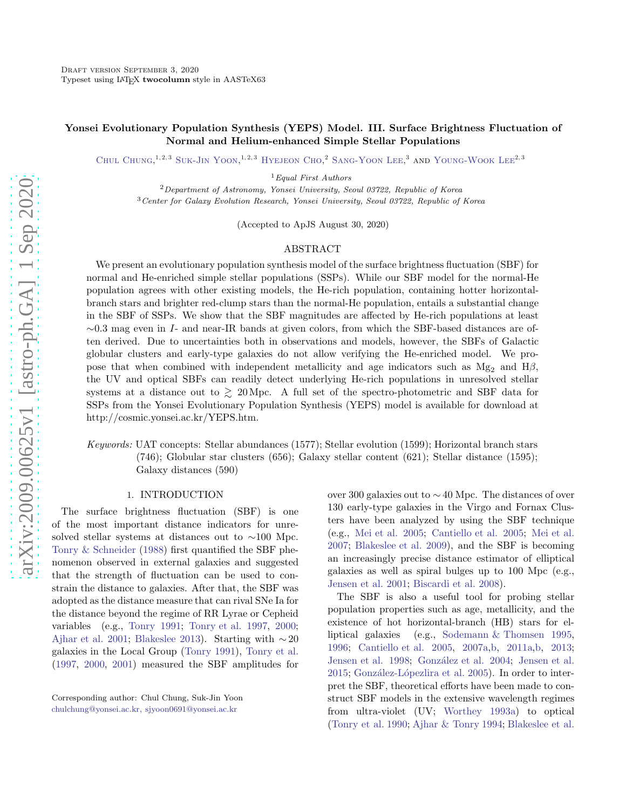# Yonsei Evolutionary Population Synthesis (YEPS) Model. III. Surface Brightness Fluctuation of Normal and Helium-enhanced Simple Stellar Populations

CHUL CHUNG,<sup>1,2,3</sup> SUK-JIN YOON,<sup>1,2,3</sup> HYEJEON CHO,<sup>2</sup> SANG-YOON LEE,<sup>3</sup> AND YOUNG-WOOK LEE<sup>2,3</sup>

<sup>1</sup>Equal First Authors

 $2$ Department of Astronomy, Yonsei University, Seoul 03722, Republic of Korea <sup>3</sup>Center for Galaxy Evolution Research, Yonsei University, Seoul 03722, Republic of Korea

(Accepted to ApJS August 30, 2020)

## ABSTRACT

We present an evolutionary population synthesis model of the surface brightness fluctuation (SBF) for normal and He-enriched simple stellar populations (SSPs). While our SBF model for the normal-He population agrees with other existing models, the He-rich population, containing hotter horizontalbranch stars and brighter red-clump stars than the normal-He population, entails a substantial change in the SBF of SSPs. We show that the SBF magnitudes are affected by He-rich populations at least  $\sim 0.3$  mag even in I- and near-IR bands at given colors, from which the SBF-based distances are often derived. Due to uncertainties both in observations and models, however, the SBFs of Galactic globular clusters and early-type galaxies do not allow verifying the He-enriched model. We propose that when combined with independent metallicity and age indicators such as  $Mg_2$  and  $H\beta$ , the UV and optical SBFs can readily detect underlying He-rich populations in unresolved stellar systems at a distance out to  $\gtrsim$  20 Mpc. A full set of the spectro-photometric and SBF data for SSPs from the Yonsei Evolutionary Population Synthesis (YEPS) model is available for download at http://cosmic.yonsei.ac.kr/YEPS.htm.

Keywords: UAT concepts: Stellar abundances (1577); Stellar evolution (1599); Horizontal branch stars (746); Globular star clusters (656); Galaxy stellar content (621); Stellar distance (1595); Galaxy distances (590)

## 1. INTRODUCTION

The surface brightness fluctuation (SBF) is one of the most important distance indicators for unresolved stellar systems at distances out to ∼100 Mpc. [Tonry & Schneider](#page-21-0) [\(1988\)](#page-21-0) first quantified the SBF phenomenon observed in external galaxies and suggested that the strength of fluctuation can be used to constrain the distance to galaxies. After that, the SBF was adopted as the distance measure that can rival SNe Ia for the distance beyond the regime of RR Lyrae or Cepheid variables (e.g., [Tonry 1991](#page-21-1); [Tonry et al. 1997,](#page-21-2) [2000;](#page-21-3) [Ajhar et al. 2001](#page-19-0); [Blakeslee 2013\)](#page-20-0). Starting with  $\sim$  20 galaxies in the Local Group [\(Tonry 1991](#page-21-1)), [Tonry et al.](#page-21-2) [\(1997,](#page-21-2) [2000](#page-21-3), [2001\)](#page-21-4) measured the SBF amplitudes for over 300 galaxies out to ∼ 40 Mpc. The distances of over 130 early-type galaxies in the Virgo and Fornax Clusters have been analyzed by using the SBF technique (e.g., [Mei et al. 2005;](#page-20-1) [Cantiello et al. 2005](#page-20-2); [Mei et al.](#page-20-3) [2007;](#page-20-3) [Blakeslee et al. 2009\)](#page-20-4), and the SBF is becoming an increasingly precise distance estimator of elliptical galaxies as well as spiral bulges up to 100 Mpc (e.g., [Jensen et al. 2001;](#page-20-5) [Biscardi et al. 2008\)](#page-19-1).

The SBF is also a useful tool for probing stellar population properties such as age, metallicity, and the existence of hot horizontal-branch (HB) stars for elliptical galaxies (e.g., [Sodemann & Thomsen 1995](#page-20-6), [1996;](#page-21-5) [Cantiello et al. 2005,](#page-20-2) [2007a](#page-20-7)[,b,](#page-20-8) [2011a](#page-20-9)[,b](#page-20-10), [2013](#page-20-11); [Jensen et al. 1998;](#page-20-12) González et al. 2004; [Jensen et al.](#page-20-14) [2015;](#page-20-14) González-Lópezlira et al. 2005). In order to interpret the SBF, theoretical efforts have been made to construct SBF models in the extensive wavelength regimes from ultra-violet (UV; [Worthey 1993a\)](#page-21-6) to optical [\(Tonry et al. 1990;](#page-21-7) [Ajhar & Tonry 1994;](#page-19-2) [Blakeslee et al.](#page-20-16)

Corresponding author: Chul Chung, Suk-Jin Yoon [chulchung@yonsei.ac.kr, sjyoon0691@yonsei.ac.kr](mailto: chulchung@yonsei.ac.kr, sjyoon0691@yonsei.ac.kr)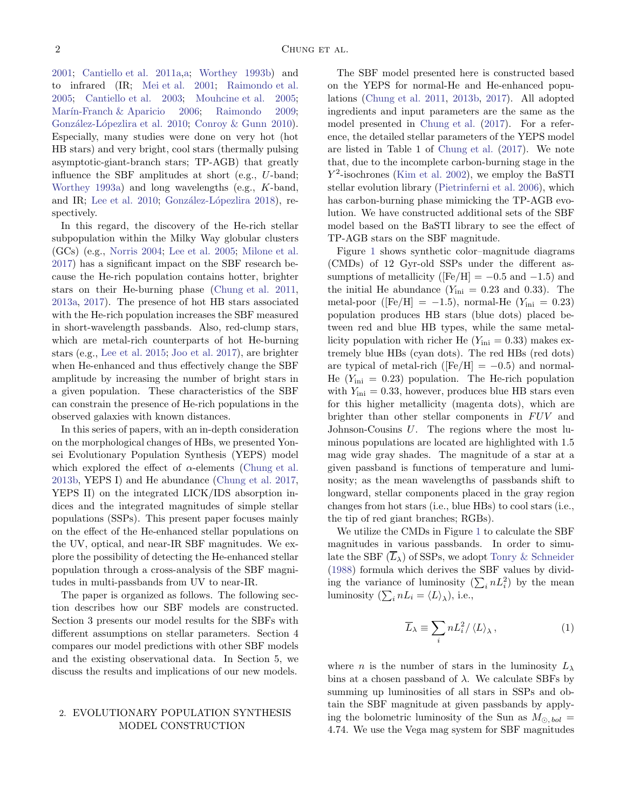[2001;](#page-20-16) [Cantiello et al. 2011a,a;](#page-20-9) [Worthey 1993b\)](#page-21-8) and to infrared (IR; [Mei et al. 2001](#page-20-17); [Raimondo et al.](#page-20-18) [2005;](#page-20-18) [Cantiello et al. 2003;](#page-20-19) [Mouhcine et al. 2005;](#page-20-20) Marín-Franch & Aparicio 2006; [Raimondo 2009;](#page-20-22) González-Lópezlira et al. 2010; [Conroy & Gunn 2010\)](#page-20-24). Especially, many studies were done on very hot (hot HB stars) and very bright, cool stars (thermally pulsing asymptotic-giant-branch stars; TP-AGB) that greatly influence the SBF amplitudes at short (e.g., U-band; [Worthey 1993a](#page-21-6)) and long wavelengths (e.g., K-band, and IR; [Lee et al. 2010;](#page-20-25) González-Lópezlira 2018), respectively.

In this regard, the discovery of the He-rich stellar subpopulation within the Milky Way globular clusters (GCs) (e.g., [Norris 2004;](#page-20-27) [Lee et al. 2005](#page-20-28); [Milone et al.](#page-20-29) [2017\)](#page-20-29) has a significant impact on the SBF research because the He-rich population contains hotter, brighter stars on their He-burning phase [\(Chung et al. 2011,](#page-20-30) [2013a,](#page-20-31) [2017](#page-20-32)). The presence of hot HB stars associated with the He-rich population increases the SBF measured in short-wavelength passbands. Also, red-clump stars, which are metal-rich counterparts of hot He-burning stars (e.g., [Lee et al. 2015](#page-20-33); [Joo et al. 2017\)](#page-20-34), are brighter when He-enhanced and thus effectively change the SBF amplitude by increasing the number of bright stars in a given population. These characteristics of the SBF can constrain the presence of He-rich populations in the observed galaxies with known distances.

In this series of papers, with an in-depth consideration on the morphological changes of HBs, we presented Yonsei Evolutionary Population Synthesis (YEPS) model which explored the effect of  $\alpha$ -elements [\(Chung et al.](#page-20-35) [2013b](#page-20-35), YEPS I) and He abundance [\(Chung et al. 2017,](#page-20-32) YEPS II) on the integrated LICK/IDS absorption indices and the integrated magnitudes of simple stellar populations (SSPs). This present paper focuses mainly on the effect of the He-enhanced stellar populations on the UV, optical, and near-IR SBF magnitudes. We explore the possibility of detecting the He-enhanced stellar population through a cross-analysis of the SBF magnitudes in multi-passbands from UV to near-IR.

The paper is organized as follows. The following section describes how our SBF models are constructed. Section 3 presents our model results for the SBFs with different assumptions on stellar parameters. Section 4 compares our model predictions with other SBF models and the existing observational data. In Section 5, we discuss the results and implications of our new models.

# 2. EVOLUTIONARY POPULATION SYNTHESIS MODEL CONSTRUCTION

The SBF model presented here is constructed based on the YEPS for normal-He and He-enhanced populations [\(Chung et al. 2011,](#page-20-30) [2013b,](#page-20-35) [2017\)](#page-20-32). All adopted ingredients and input parameters are the same as the model presented in [Chung et al.](#page-20-32) [\(2017\)](#page-20-32). For a reference, the detailed stellar parameters of the YEPS model are listed in Table 1 of [Chung et al.](#page-20-32) [\(2017\)](#page-20-32). We note that, due to the incomplete carbon-burning stage in the  $Y^2$ -isochrones [\(Kim et al. 2002](#page-20-36)), we employ the BaSTI stellar evolution library [\(Pietrinferni et al. 2006](#page-20-37)), which has carbon-burning phase mimicking the TP-AGB evolution. We have constructed additional sets of the SBF model based on the BaSTI library to see the effect of TP-AGB stars on the SBF magnitude.

Figure [1](#page-2-0) shows synthetic color–magnitude diagrams (CMDs) of 12 Gyr-old SSPs under the different assumptions of metallicity ( $[Fe/H] = -0.5$  and  $-1.5$ ) and the initial He abundance  $(Y_{\text{ini}} = 0.23 \text{ and } 0.33)$ . The metal-poor ([Fe/H] = -1.5), normal-He  $(Y_{\text{ini}} = 0.23)$ population produces HB stars (blue dots) placed between red and blue HB types, while the same metallicity population with richer He  $(Y_{\text{ini}} = 0.33)$  makes extremely blue HBs (cyan dots). The red HBs (red dots) are typical of metal-rich ( $[Fe/H] = -0.5$ ) and normal-He  $(Y_{\text{ini}} = 0.23)$  population. The He-rich population with  $Y_{\text{ini}} = 0.33$ , however, produces blue HB stars even for this higher metallicity (magenta dots), which are brighter than other stellar components in  $FUV$  and Johnson-Cousins U. The regions where the most luminous populations are located are highlighted with 1.5 mag wide gray shades. The magnitude of a star at a given passband is functions of temperature and luminosity; as the mean wavelengths of passbands shift to longward, stellar components placed in the gray region changes from hot stars (i.e., blue HBs) to cool stars (i.e., the tip of red giant branches; RGBs).

We utilize the CMDs in Figure [1](#page-2-0) to calculate the SBF magnitudes in various passbands. In order to simulate the SBF  $(\overline{L}_{\lambda})$  of SSPs, we adopt [Tonry & Schneider](#page-21-0) [\(1988\)](#page-21-0) formula which derives the SBF values by dividing the variance of luminosity  $(\sum_i nL_i^2)$  by the mean luminosity  $(\sum_i nL_i = \langle L \rangle_{\lambda})$ , i.e.,

<span id="page-1-0"></span>
$$
\overline{L}_{\lambda} \equiv \sum_{i} n L_{i}^{2} / \langle L \rangle_{\lambda}, \qquad (1)
$$

where *n* is the number of stars in the luminosity  $L_{\lambda}$ bins at a chosen passband of  $\lambda$ . We calculate SBFs by summing up luminosities of all stars in SSPs and obtain the SBF magnitude at given passbands by applying the bolometric luminosity of the Sun as  $M_{\odot, bol}$  = 4.74. We use the Vega mag system for SBF magnitudes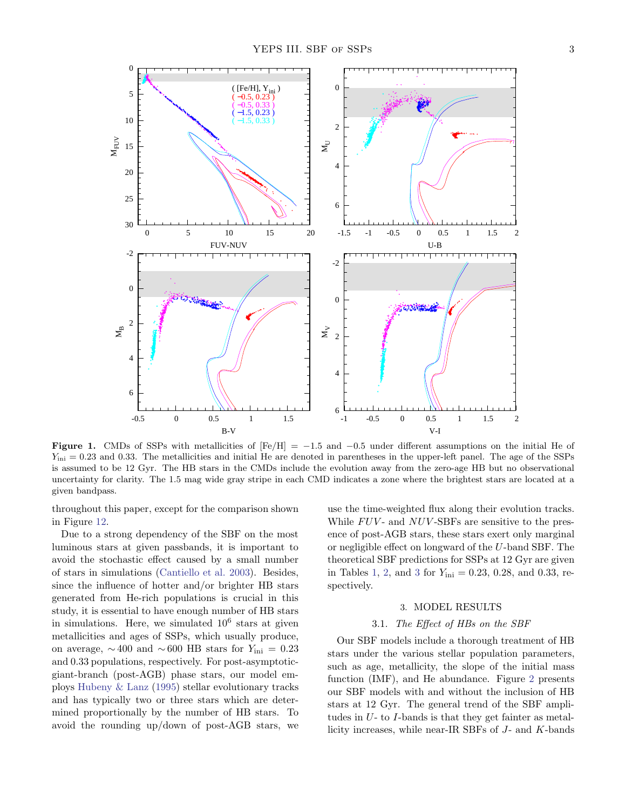

<span id="page-2-0"></span>Figure 1. CMDs of SSPs with metallicities of  $[Fe/H] = -1.5$  and  $-0.5$  under different assumptions on the initial He of  $Y_{\text{ini}} = 0.23$  and 0.33. The metallicities and initial He are denoted in parentheses in the upper-left panel. The age of the SSPs is assumed to be 12 Gyr. The HB stars in the CMDs include the evolution away from the zero-age HB but no observational uncertainty for clarity. The 1.5 mag wide gray stripe in each CMD indicates a zone where the brightest stars are located at a given bandpass.

throughout this paper, except for the comparison shown in Figure [12.](#page-15-0)

Due to a strong dependency of the SBF on the most luminous stars at given passbands, it is important to avoid the stochastic effect caused by a small number of stars in simulations [\(Cantiello et al. 2003\)](#page-20-19). Besides, since the influence of hotter and/or brighter HB stars generated from He-rich populations is crucial in this study, it is essential to have enough number of HB stars in simulations. Here, we simulated  $10^6$  stars at given metallicities and ages of SSPs, which usually produce, on average,  $\sim$  400 and  $\sim$  600 HB stars for  $Y_{\text{ini}} = 0.23$ and 0.33 populations, respectively. For post-asymptoticgiant-branch (post-AGB) phase stars, our model employs [Hubeny & Lanz](#page-20-38) [\(1995](#page-20-38)) stellar evolutionary tracks and has typically two or three stars which are determined proportionally by the number of HB stars. To avoid the rounding up/down of post-AGB stars, we use the time-weighted flux along their evolution tracks. While  $FUV$ - and  $NUV$ -SBFs are sensitive to the presence of post-AGB stars, these stars exert only marginal or negligible effect on longward of the U-band SBF. The theoretical SBF predictions for SSPs at 12 Gyr are given in Tables [1,](#page-22-0) [2,](#page-22-1) and [3](#page-23-0) for  $Y_{\text{ini}} = 0.23, 0.28, \text{ and } 0.33, \text{ re-}$ spectively.

### 3. MODEL RESULTS

## 3.1. The Effect of HBs on the SBF

Our SBF models include a thorough treatment of HB stars under the various stellar population parameters, such as age, metallicity, the slope of the initial mass function (IMF), and He abundance. Figure [2](#page-3-0) presents our SBF models with and without the inclusion of HB stars at 12 Gyr. The general trend of the SBF amplitudes in  $U$ - to  $I$ -bands is that they get fainter as metallicity increases, while near-IR SBFs of J- and K-bands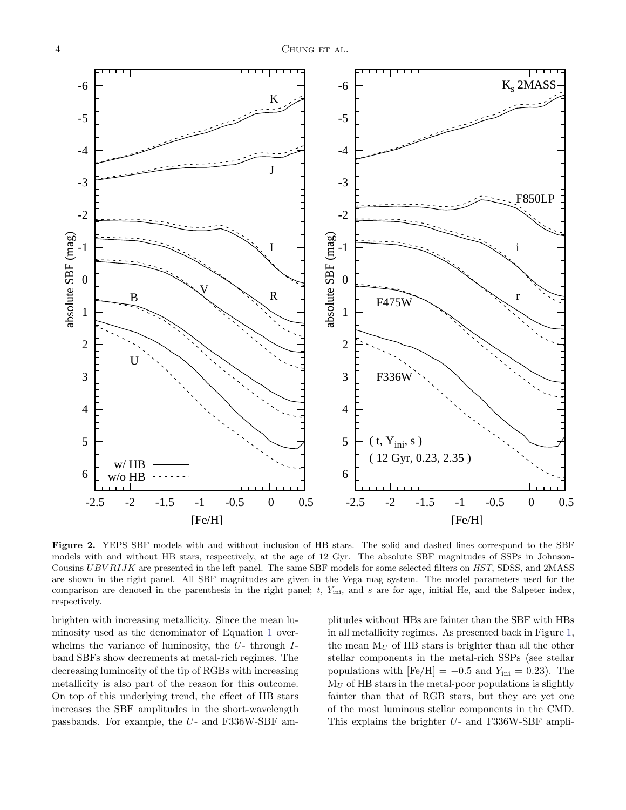

<span id="page-3-0"></span>Figure 2. YEPS SBF models with and without inclusion of HB stars. The solid and dashed lines correspond to the SBF models with and without HB stars, respectively, at the age of 12 Gyr. The absolute SBF magnitudes of SSPs in Johnson-Cousins UBV RIJK are presented in the left panel. The same SBF models for some selected filters on HST, SDSS, and 2MASS are shown in the right panel. All SBF magnitudes are given in the Vega mag system. The model parameters used for the comparison are denoted in the parenthesis in the right panel;  $t$ ,  $Y_{\text{ini}}$ , and  $s$  are for age, initial He, and the Salpeter index, respectively.

brighten with increasing metallicity. Since the mean luminosity used as the denominator of Equation [1](#page-1-0) overwhelms the variance of luminosity, the  $U$ - through  $I$ band SBFs show decrements at metal-rich regimes. The decreasing luminosity of the tip of RGBs with increasing metallicity is also part of the reason for this outcome. On top of this underlying trend, the effect of HB stars increases the SBF amplitudes in the short-wavelength passbands. For example, the U- and F336W-SBF amplitudes without HBs are fainter than the SBF with HBs in all metallicity regimes. As presented back in Figure [1,](#page-2-0) the mean  $M_U$  of HB stars is brighter than all the other stellar components in the metal-rich SSPs (see stellar populations with  $[Fe/H] = -0.5$  and  $Y_{\text{ini}} = 0.23$ ). The  $M_U$  of HB stars in the metal-poor populations is slightly fainter than that of RGB stars, but they are yet one of the most luminous stellar components in the CMD. This explains the brighter U- and F336W-SBF ampli-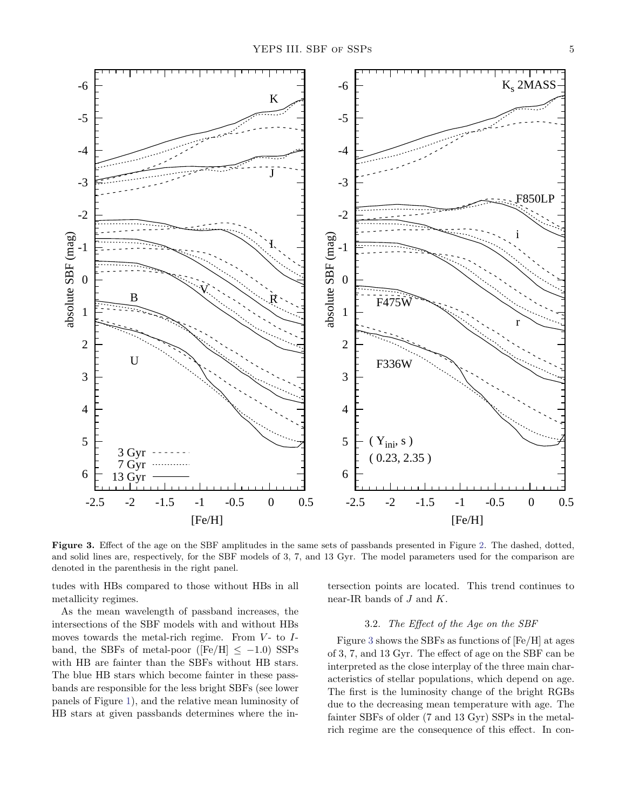

<span id="page-4-0"></span>Figure 3. Effect of the age on the SBF amplitudes in the same sets of passbands presented in Figure [2.](#page-3-0) The dashed, dotted, and solid lines are, respectively, for the SBF models of 3, 7, and 13 Gyr. The model parameters used for the comparison are denoted in the parenthesis in the right panel.

tudes with HBs compared to those without HBs in all metallicity regimes.

As the mean wavelength of passband increases, the intersections of the SBF models with and without HBs moves towards the metal-rich regime. From  $V$ - to  $I$ band, the SBFs of metal-poor ( $[Fe/H] \le -1.0$ ) SSPs with HB are fainter than the SBFs without HB stars. The blue HB stars which become fainter in these passbands are responsible for the less bright SBFs (see lower panels of Figure [1\)](#page-2-0), and the relative mean luminosity of HB stars at given passbands determines where the intersection points are located. This trend continues to near-IR bands of  $J$  and  $K$ .

## 3.2. The Effect of the Age on the SBF

Figure [3](#page-4-0) shows the SBFs as functions of [Fe/H] at ages of 3, 7, and 13 Gyr. The effect of age on the SBF can be interpreted as the close interplay of the three main characteristics of stellar populations, which depend on age. The first is the luminosity change of the bright RGBs due to the decreasing mean temperature with age. The fainter SBFs of older (7 and 13 Gyr) SSPs in the metalrich regime are the consequence of this effect. In con-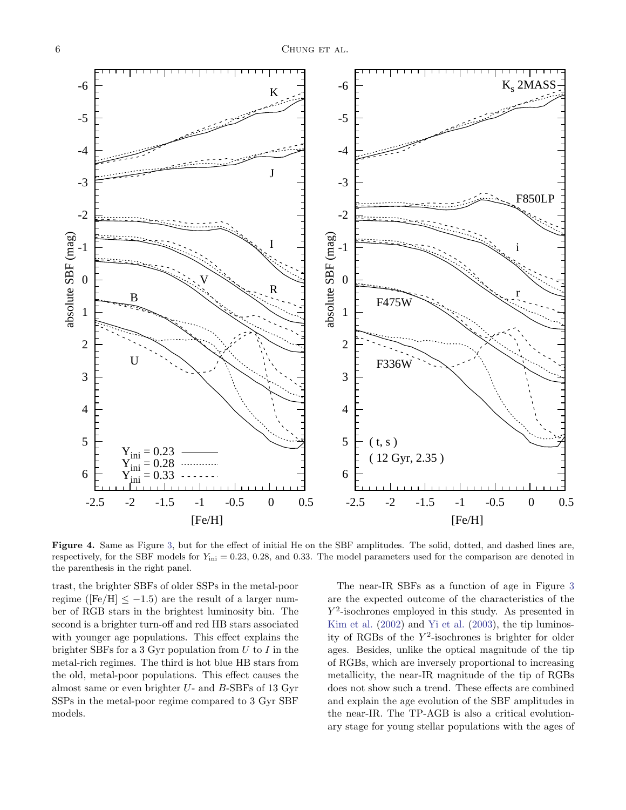

<span id="page-5-0"></span>Figure 4. Same as Figure [3,](#page-4-0) but for the effect of initial He on the SBF amplitudes. The solid, dotted, and dashed lines are, respectively, for the SBF models for  $Y_{\text{ini}} = 0.23, 0.28,$  and 0.33. The model parameters used for the comparison are denoted in the parenthesis in the right panel.

trast, the brighter SBFs of older SSPs in the metal-poor regime ( $[Fe/H] \le -1.5$ ) are the result of a larger number of RGB stars in the brightest luminosity bin. The second is a brighter turn-off and red HB stars associated with younger age populations. This effect explains the brighter SBFs for a 3 Gyr population from  $U$  to  $I$  in the metal-rich regimes. The third is hot blue HB stars from the old, metal-poor populations. This effect causes the almost same or even brighter U- and B-SBFs of 13 Gyr SSPs in the metal-poor regime compared to 3 Gyr SBF models.

The near-IR SBFs as a function of age in Figure [3](#page-4-0) are the expected outcome of the characteristics of the  $Y^2$ -isochrones employed in this study. As presented in [Kim et al.](#page-20-36) [\(2002](#page-20-36)) and [Yi et al.](#page-21-9) [\(2003\)](#page-21-9), the tip luminosity of RGBs of the  $Y^2$ -isochrones is brighter for older ages. Besides, unlike the optical magnitude of the tip of RGBs, which are inversely proportional to increasing metallicity, the near-IR magnitude of the tip of RGBs does not show such a trend. These effects are combined and explain the age evolution of the SBF amplitudes in the near-IR. The TP-AGB is also a critical evolutionary stage for young stellar populations with the ages of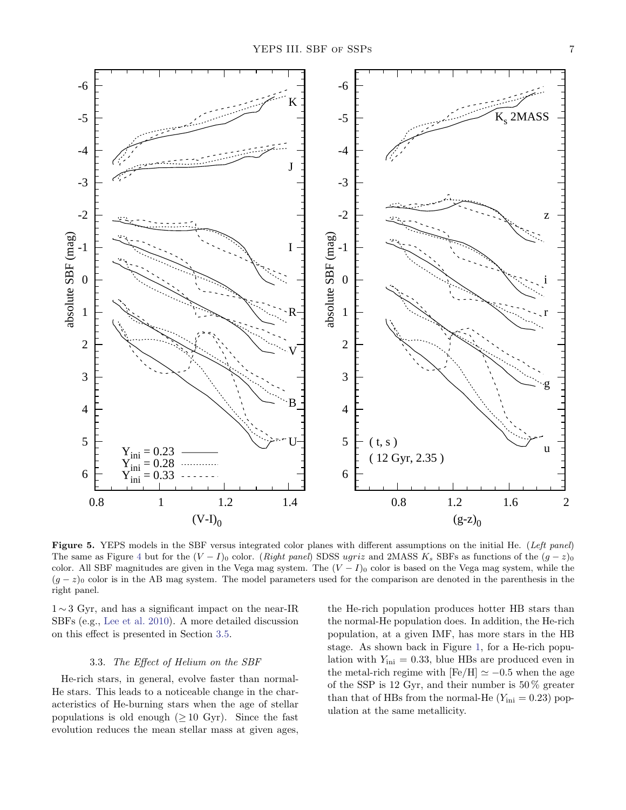

<span id="page-6-0"></span>Figure 5. YEPS models in the SBF versus integrated color planes with different assumptions on the initial He. (Left panel) The same as Figure [4](#page-5-0) but for the  $(V - I)$ <sup>0</sup> color. (Right panel) SDSS ugriz and 2MASS K<sub>s</sub> SBFs as functions of the  $(g - z)$ <sup>0</sup> color. All SBF magnitudes are given in the Vega mag system. The  $(V - I)_0$  color is based on the Vega mag system, while the  $(g - z)$ <sub>0</sub> color is in the AB mag system. The model parameters used for the comparison are denoted in the parenthesis in the right panel.

1 ∼ 3 Gyr, and has a significant impact on the near-IR SBFs (e.g., [Lee et al. 2010](#page-20-25)). A more detailed discussion on this effect is presented in Section [3.5.](#page-8-0)

### 3.3. The Effect of Helium on the SBF

He-rich stars, in general, evolve faster than normal-He stars. This leads to a noticeable change in the characteristics of He-burning stars when the age of stellar populations is old enough  $(≥ 10 \text{ Gyr})$ . Since the fast evolution reduces the mean stellar mass at given ages,

the He-rich population produces hotter HB stars than the normal-He population does. In addition, the He-rich population, at a given IMF, has more stars in the HB stage. As shown back in Figure [1,](#page-2-0) for a He-rich population with  $Y_{\text{ini}} = 0.33$ , blue HBs are produced even in the metal-rich regime with  $[Fe/H] \simeq -0.5$  when the age of the SSP is 12 Gyr, and their number is  $50\,\%$  greater than that of HBs from the normal-He  $(Y_{\text{ini}} = 0.23)$  population at the same metallicity.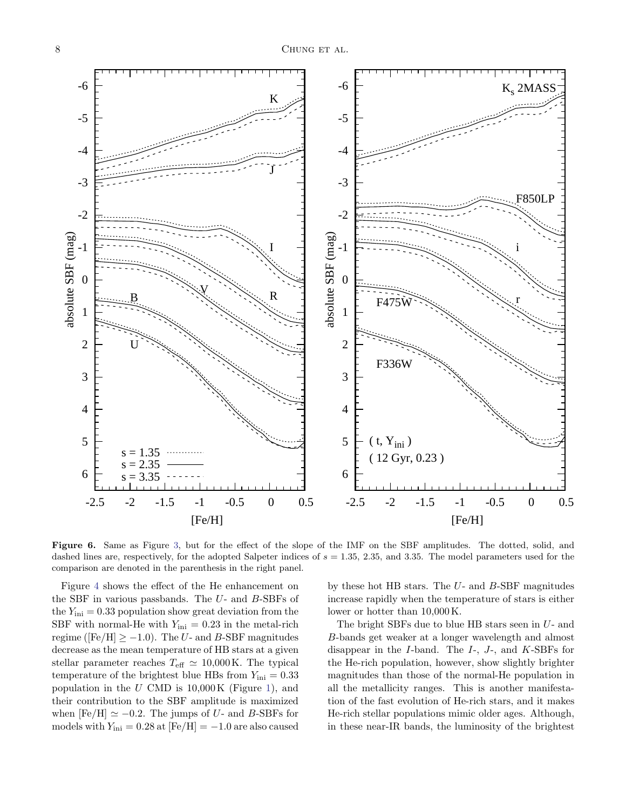

<span id="page-7-0"></span>Figure 6. Same as Figure [3,](#page-4-0) but for the effect of the slope of the IMF on the SBF amplitudes. The dotted, solid, and dashed lines are, respectively, for the adopted Salpeter indices of  $s = 1.35$ , 2.35, and 3.35. The model parameters used for the comparison are denoted in the parenthesis in the right panel.

Figure [4](#page-5-0) shows the effect of the He enhancement on the SBF in various passbands. The  $U$ - and  $B$ -SBFs of the  $Y_{\text{ini}} = 0.33$  population show great deviation from the SBF with normal-He with  $Y_{\text{ini}} = 0.23$  in the metal-rich regime ([Fe/H]  $\ge -1.0$ ). The U- and B-SBF magnitudes decrease as the mean temperature of HB stars at a given stellar parameter reaches  $T_{\text{eff}} \simeq 10,000 \,\text{K}$ . The typical temperature of the brightest blue HBs from  $Y_{\text{ini}} = 0.33$ population in the  $U$  CMD is  $10,000$  K (Figure [1\)](#page-2-0), and their contribution to the SBF amplitude is maximized when  $[Fe/H] \simeq -0.2$ . The jumps of U- and B-SBFs for models with  $Y_{\text{ini}} = 0.28$  at  $\text{[Fe/H]} = -1.0$  are also caused

by these hot HB stars. The  $U$ - and  $B$ -SBF magnitudes increase rapidly when the temperature of stars is either lower or hotter than 10,000 K.

The bright SBFs due to blue HB stars seen in  $U$ - and B-bands get weaker at a longer wavelength and almost disappear in the I-band. The I-, J-, and K-SBFs for the He-rich population, however, show slightly brighter magnitudes than those of the normal-He population in all the metallicity ranges. This is another manifestation of the fast evolution of He-rich stars, and it makes He-rich stellar populations mimic older ages. Although, in these near-IR bands, the luminosity of the brightest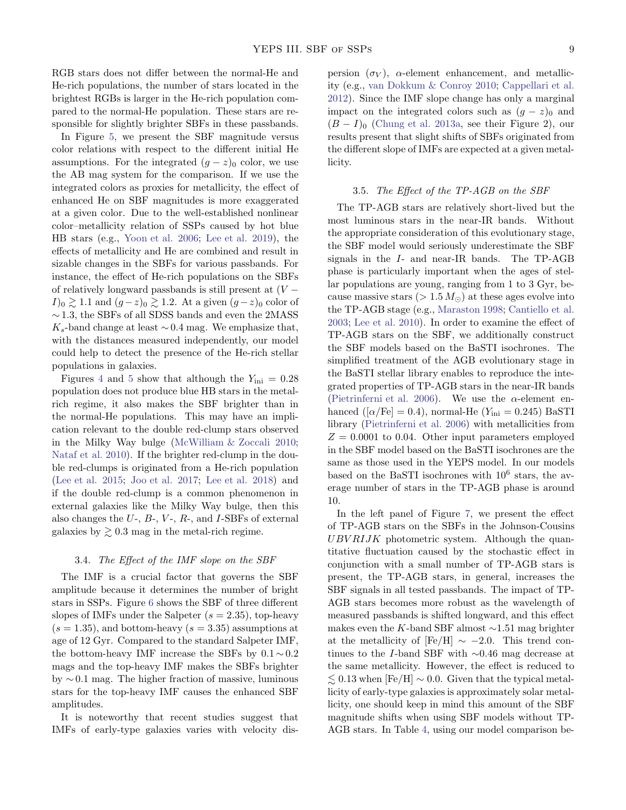RGB stars does not differ between the normal-He and He-rich populations, the number of stars located in the brightest RGBs is larger in the He-rich population compared to the normal-He population. These stars are responsible for slightly brighter SBFs in these passbands.

In Figure [5,](#page-6-0) we present the SBF magnitude versus color relations with respect to the different initial He assumptions. For the integrated  $(g - z)_0$  color, we use the AB mag system for the comparison. If we use the integrated colors as proxies for metallicity, the effect of enhanced He on SBF magnitudes is more exaggerated at a given color. Due to the well-established nonlinear color–metallicity relation of SSPs caused by hot blue HB stars (e.g., [Yoon et al. 2006](#page-21-10); [Lee et al. 2019\)](#page-20-39), the effects of metallicity and He are combined and result in sizable changes in the SBFs for various passbands. For instance, the effect of He-rich populations on the SBFs of relatively longward passbands is still present at  $(V I)_0 \gtrsim 1.1$  and  $(g-z)_0 \gtrsim 1.2$ . At a given  $(g-z)_0$  color of  $\sim$ 1.3, the SBFs of all SDSS bands and even the 2MASS  $K_s$ -band change at least  $\sim 0.4$  mag. We emphasize that, with the distances measured independently, our model could help to detect the presence of the He-rich stellar populations in galaxies.

Figures [4](#page-5-0) and [5](#page-6-0) show that although the  $Y_{\text{ini}} = 0.28$ population does not produce blue HB stars in the metalrich regime, it also makes the SBF brighter than in the normal-He populations. This may have an implication relevant to the double red-clump stars observed in the Milky Way bulge [\(McWilliam & Zoccali 2010;](#page-20-40) [Nataf et al. 2010\)](#page-20-41). If the brighter red-clump in the double red-clumps is originated from a He-rich population [\(Lee et al. 2015](#page-20-33); [Joo et al. 2017;](#page-20-34) [Lee et al. 2018](#page-20-42)) and if the double red-clump is a common phenomenon in external galaxies like the Milky Way bulge, then this also changes the  $U$ -,  $B$ -,  $V$ -,  $R$ -, and  $I$ -SBFs of external galaxies by  $\geq 0.3$  mag in the metal-rich regime.

### 3.4. The Effect of the IMF slope on the SBF

The IMF is a crucial factor that governs the SBF amplitude because it determines the number of bright stars in SSPs. Figure [6](#page-7-0) shows the SBF of three different slopes of IMFs under the Salpeter  $(s = 2.35)$ , top-heavy  $(s = 1.35)$ , and bottom-heavy  $(s = 3.35)$  assumptions at age of 12 Gyr. Compared to the standard Salpeter IMF, the bottom-heavy IMF increase the SBFs by  $0.1 \sim 0.2$ mags and the top-heavy IMF makes the SBFs brighter by ∼ 0.1 mag. The higher fraction of massive, luminous stars for the top-heavy IMF causes the enhanced SBF amplitudes.

It is noteworthy that recent studies suggest that IMFs of early-type galaxies varies with velocity dispersion  $(\sigma_V)$ ,  $\alpha$ -element enhancement, and metallicity (e.g., [van Dokkum & Conroy 2010](#page-21-11); [Cappellari et al.](#page-20-43) [2012\)](#page-20-43). Since the IMF slope change has only a marginal impact on the integrated colors such as  $(g - z)_0$  and  $(B - I)$ <sub>0</sub> [\(Chung et al. 2013a,](#page-20-31) see their Figure 2), our results present that slight shifts of SBFs originated from the different slope of IMFs are expected at a given metallicity.

### <span id="page-8-0"></span>3.5. The Effect of the TP-AGB on the SBF

The TP-AGB stars are relatively short-lived but the most luminous stars in the near-IR bands. Without the appropriate consideration of this evolutionary stage, the SBF model would seriously underestimate the SBF signals in the I- and near-IR bands. The TP-AGB phase is particularly important when the ages of stellar populations are young, ranging from 1 to 3 Gyr, because massive stars ( $> 1.5 M_{\odot}$ ) at these ages evolve into the TP-AGB stage (e.g., [Maraston 1998](#page-20-44); [Cantiello et al.](#page-20-19) [2003;](#page-20-19) [Lee et al. 2010](#page-20-25)). In order to examine the effect of TP-AGB stars on the SBF, we additionally construct the SBF models based on the BaSTI isochrones. The simplified treatment of the AGB evolutionary stage in the BaSTI stellar library enables to reproduce the integrated properties of TP-AGB stars in the near-IR bands [\(Pietrinferni et al. 2006\)](#page-20-37). We use the  $\alpha$ -element enhanced ( $\alpha$ /Fe] = 0.4), normal-He ( $Y_{\text{ini}} = 0.245$ ) BaSTI library [\(Pietrinferni et al. 2006\)](#page-20-37) with metallicities from  $Z = 0.0001$  to 0.04. Other input parameters employed in the SBF model based on the BaSTI isochrones are the same as those used in the YEPS model. In our models based on the BaSTI isochrones with  $10^6$  stars, the average number of stars in the TP-AGB phase is around 10.

In the left panel of Figure [7,](#page-9-0) we present the effect of TP-AGB stars on the SBFs in the Johnson-Cousins UBV RIJK photometric system. Although the quantitative fluctuation caused by the stochastic effect in conjunction with a small number of TP-AGB stars is present, the TP-AGB stars, in general, increases the SBF signals in all tested passbands. The impact of TP-AGB stars becomes more robust as the wavelength of measured passbands is shifted longward, and this effect makes even the K-band SBF almost  $\sim$ 1.51 mag brighter at the metallicity of  $[Fe/H] \sim -2.0$ . This trend continues to the I-band SBF with ∼0.46 mag decrease at the same metallicity. However, the effect is reduced to  $\leq 0.13$  when [Fe/H]  $\sim 0.0$ . Given that the typical metallicity of early-type galaxies is approximately solar metallicity, one should keep in mind this amount of the SBF magnitude shifts when using SBF models without TP-AGB stars. In Table [4,](#page-23-1) using our model comparison be-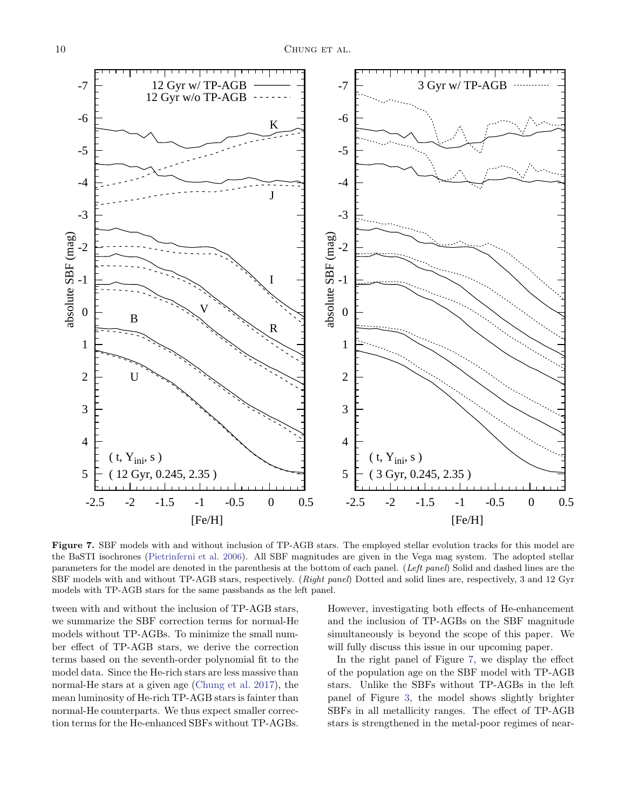

<span id="page-9-0"></span>Figure 7. SBF models with and without inclusion of TP-AGB stars. The employed stellar evolution tracks for this model are the BaSTI isochrones [\(Pietrinferni et al. 2006\)](#page-20-37). All SBF magnitudes are given in the Vega mag system. The adopted stellar parameters for the model are denoted in the parenthesis at the bottom of each panel. (Left panel) Solid and dashed lines are the SBF models with and without TP-AGB stars, respectively. (Right panel) Dotted and solid lines are, respectively, 3 and 12 Gyr models with TP-AGB stars for the same passbands as the left panel.

tween with and without the inclusion of TP-AGB stars, we summarize the SBF correction terms for normal-He models without TP-AGBs. To minimize the small number effect of TP-AGB stars, we derive the correction terms based on the seventh-order polynomial fit to the model data. Since the He-rich stars are less massive than normal-He stars at a given age [\(Chung et al. 2017\)](#page-20-32), the mean luminosity of He-rich TP-AGB stars is fainter than normal-He counterparts. We thus expect smaller correction terms for the He-enhanced SBFs without TP-AGBs. However, investigating both effects of He-enhancement and the inclusion of TP-AGBs on the SBF magnitude simultaneously is beyond the scope of this paper. We will fully discuss this issue in our upcoming paper.

In the right panel of Figure [7,](#page-9-0) we display the effect of the population age on the SBF model with TP-AGB stars. Unlike the SBFs without TP-AGBs in the left panel of Figure [3,](#page-4-0) the model shows slightly brighter SBFs in all metallicity ranges. The effect of TP-AGB stars is strengthened in the metal-poor regimes of near-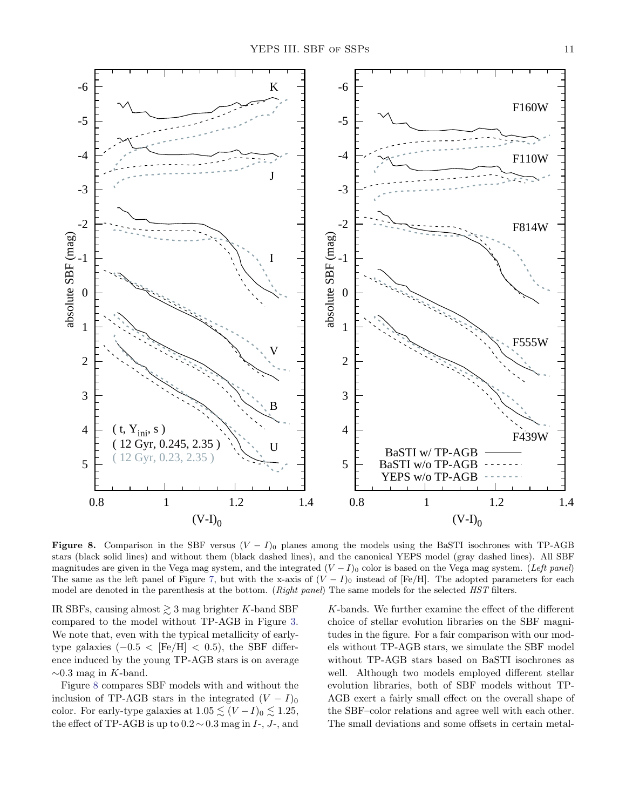

<span id="page-10-0"></span>Figure 8. Comparison in the SBF versus  $(V - I)$ <sub>0</sub> planes among the models using the BaSTI isochrones with TP-AGB stars (black solid lines) and without them (black dashed lines), and the canonical YEPS model (gray dashed lines). All SBF magnitudes are given in the Vega mag system, and the integrated  $(V - I)$ <sub>0</sub> color is based on the Vega mag system. (Left panel) The same as the left panel of Figure [7,](#page-9-0) but with the x-axis of  $(V - I)$ <sup>0</sup> instead of [Fe/H]. The adopted parameters for each model are denoted in the parenthesis at the bottom. (Right panel) The same models for the selected HST filters.

IR SBFs, causing almost  $\gtrsim 3$  mag brighter K-band SBF compared to the model without TP-AGB in Figure [3.](#page-4-0) We note that, even with the typical metallicity of earlytype galaxies  $(-0.5 < [Fe/H] < 0.5)$ , the SBF difference induced by the young TP-AGB stars is on average  $\sim$ 0.3 mag in K-band.

Figure [8](#page-10-0) compares SBF models with and without the inclusion of TP-AGB stars in the integrated  $(V - I)_{0}$ color. For early-type galaxies at  $1.05 \lesssim (V - I)_0 \lesssim 1.25$ , the effect of TP-AGB is up to  $0.2 \sim 0.3$  mag in  $I_z$ ,  $J_z$ , and

K-bands. We further examine the effect of the different choice of stellar evolution libraries on the SBF magnitudes in the figure. For a fair comparison with our models without TP-AGB stars, we simulate the SBF model without TP-AGB stars based on BaSTI isochrones as well. Although two models employed different stellar evolution libraries, both of SBF models without TP-AGB exert a fairly small effect on the overall shape of the SBF–color relations and agree well with each other. The small deviations and some offsets in certain metal-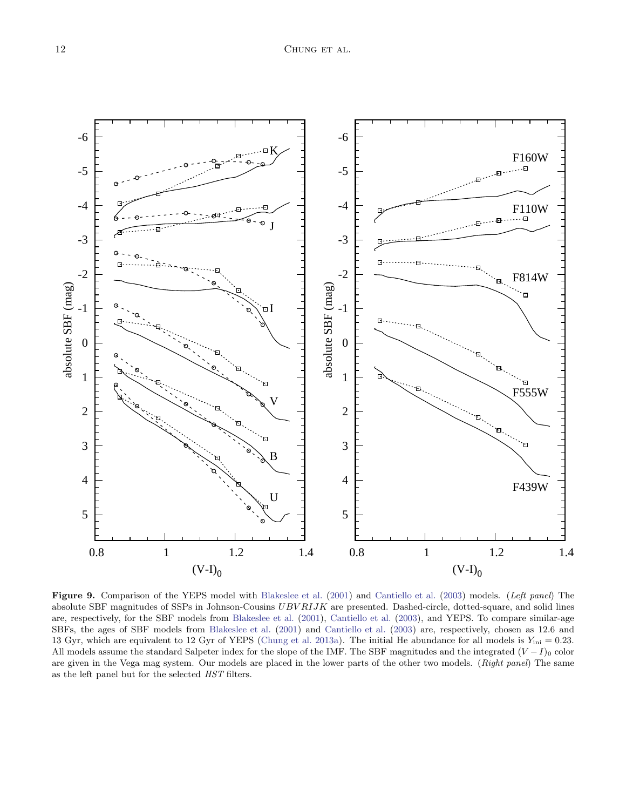

<span id="page-11-0"></span>Figure 9. Comparison of the YEPS model with [Blakeslee et al.](#page-20-16) [\(2001](#page-20-16)) and [Cantiello et al.](#page-20-19) [\(2003](#page-20-19)) models. (Left panel) The absolute SBF magnitudes of SSPs in Johnson-Cousins  $UBVRIJK$  are presented. Dashed-circle, dotted-square, and solid lines are, respectively, for the SBF models from [Blakeslee et al.](#page-20-16) [\(2001](#page-20-16)), [Cantiello et al.](#page-20-19) [\(2003](#page-20-19)), and YEPS. To compare similar-age SBFs, the ages of SBF models from [Blakeslee et al.](#page-20-16) [\(2001](#page-20-16)) and [Cantiello et al.](#page-20-19) [\(2003](#page-20-19)) are, respectively, chosen as 12.6 and 13 Gyr, which are equivalent to 12 Gyr of YEPS [\(Chung et al. 2013a](#page-20-31)). The initial He abundance for all models is  $Y_{\text{ini}} = 0.23$ . All models assume the standard Salpeter index for the slope of the IMF. The SBF magnitudes and the integrated  $(V-I)_0$  color are given in the Vega mag system. Our models are placed in the lower parts of the other two models. (Right panel) The same as the left panel but for the selected HST filters.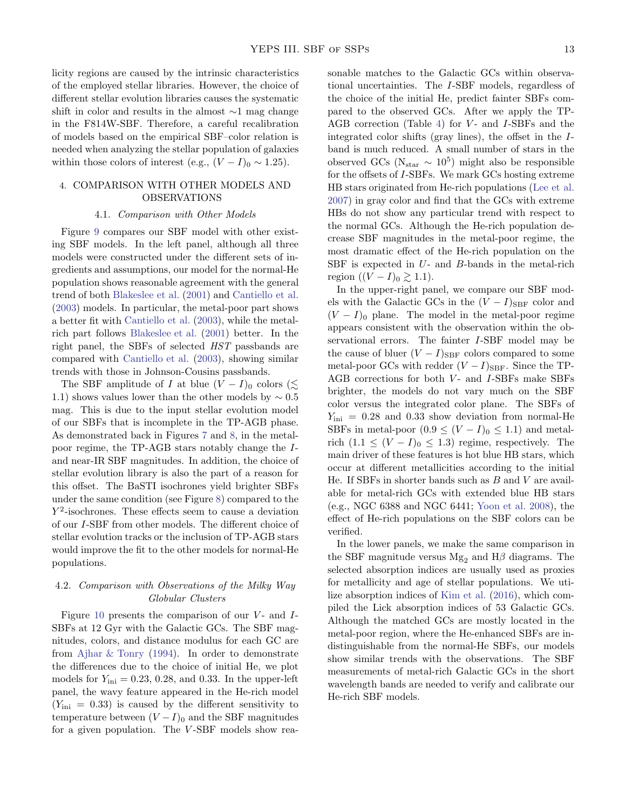licity regions are caused by the intrinsic characteristics of the employed stellar libraries. However, the choice of different stellar evolution libraries causes the systematic shift in color and results in the almost ∼1 mag change in the F814W-SBF. Therefore, a careful recalibration of models based on the empirical SBF–color relation is needed when analyzing the stellar population of galaxies within those colors of interest (e.g.,  $(V - I)_0 \sim 1.25$ ).

## 4. COMPARISON WITH OTHER MODELS AND OBSERVATIONS

#### 4.1. Comparison with Other Models

Figure [9](#page-11-0) compares our SBF model with other existing SBF models. In the left panel, although all three models were constructed under the different sets of ingredients and assumptions, our model for the normal-He population shows reasonable agreement with the general trend of both [Blakeslee et al.](#page-20-16) [\(2001](#page-20-16)) and [Cantiello et al.](#page-20-19) [\(2003\)](#page-20-19) models. In particular, the metal-poor part shows a better fit with [Cantiello et al.](#page-20-19) [\(2003\)](#page-20-19), while the metalrich part follows [Blakeslee et al.](#page-20-16) [\(2001\)](#page-20-16) better. In the right panel, the SBFs of selected HST passbands are compared with [Cantiello et al.](#page-20-19) [\(2003\)](#page-20-19), showing similar trends with those in Johnson-Cousins passbands.

The SBF amplitude of I at blue  $(V - I)$ <sub>0</sub> colors ( $\leq$ 1.1) shows values lower than the other models by  $\sim 0.5$ mag. This is due to the input stellar evolution model of our SBFs that is incomplete in the TP-AGB phase. As demonstrated back in Figures [7](#page-9-0) and [8,](#page-10-0) in the metalpoor regime, the TP-AGB stars notably change the Iand near-IR SBF magnitudes. In addition, the choice of stellar evolution library is also the part of a reason for this offset. The BaSTI isochrones yield brighter SBFs under the same condition (see Figure [8\)](#page-10-0) compared to the  $Y^2$ -isochrones. These effects seem to cause a deviation of our I-SBF from other models. The different choice of stellar evolution tracks or the inclusion of TP-AGB stars would improve the fit to the other models for normal-He populations.

# 4.2. Comparison with Observations of the Milky Way Globular Clusters

Figure [10](#page-13-0) presents the comparison of our  $V$ - and  $I$ -SBFs at 12 Gyr with the Galactic GCs. The SBF magnitudes, colors, and distance modulus for each GC are from [Ajhar & Tonry](#page-19-2) [\(1994](#page-19-2)). In order to demonstrate the differences due to the choice of initial He, we plot models for  $Y_{\text{ini}} = 0.23, 0.28, \text{ and } 0.33$ . In the upper-left panel, the wavy feature appeared in the He-rich model  $(Y_{\text{ini}} = 0.33)$  is caused by the different sensitivity to temperature between  $(V - I)_0$  and the SBF magnitudes for a given population. The V -SBF models show reasonable matches to the Galactic GCs within observational uncertainties. The I-SBF models, regardless of the choice of the initial He, predict fainter SBFs compared to the observed GCs. After we apply the TP-AGB correction (Table [4\)](#page-23-1) for  $V$ - and  $I$ -SBFs and the integrated color shifts (gray lines), the offset in the Iband is much reduced. A small number of stars in the observed GCs ( $N_{\text{star}} \sim 10^5$ ) might also be responsible for the offsets of I-SBFs. We mark GCs hosting extreme HB stars originated from He-rich populations [\(Lee et al.](#page-20-45) [2007\)](#page-20-45) in gray color and find that the GCs with extreme HBs do not show any particular trend with respect to the normal GCs. Although the He-rich population decrease SBF magnitudes in the metal-poor regime, the most dramatic effect of the He-rich population on the SBF is expected in  $U$ - and  $B$ -bands in the metal-rich region  $((V - I)_0 \geq 1.1)$ .

In the upper-right panel, we compare our SBF models with the Galactic GCs in the  $(V - I)_{\text{SBF}}$  color and  $(V - I)$ <sub>0</sub> plane. The model in the metal-poor regime appears consistent with the observation within the observational errors. The fainter I-SBF model may be the cause of bluer  $(V - I)_{\text{SBF}}$  colors compared to some metal-poor GCs with redder  $(V - I)_{\text{SBF}}$ . Since the TP-AGB corrections for both  $V$ - and  $I$ -SBFs make SBFs brighter, the models do not vary much on the SBF color versus the integrated color plane. The SBFs of  $Y_{\text{ini}} = 0.28$  and 0.33 show deviation from normal-He SBFs in metal-poor  $(0.9 \leq (V - I)_0 \leq 1.1)$  and metalrich  $(1.1 \leq (V - I)_0 \leq 1.3)$  regime, respectively. The main driver of these features is hot blue HB stars, which occur at different metallicities according to the initial He. If SBFs in shorter bands such as  $B$  and  $V$  are available for metal-rich GCs with extended blue HB stars (e.g., NGC 6388 and NGC 6441; [Yoon et al. 2008\)](#page-21-12), the effect of He-rich populations on the SBF colors can be verified.

In the lower panels, we make the same comparison in the SBF magnitude versus  $Mg_2$  and  $H\beta$  diagrams. The selected absorption indices are usually used as proxies for metallicity and age of stellar populations. We utilize absorption indices of [Kim et al.](#page-20-46) [\(2016\)](#page-20-46), which compiled the Lick absorption indices of 53 Galactic GCs. Although the matched GCs are mostly located in the metal-poor region, where the He-enhanced SBFs are indistinguishable from the normal-He SBFs, our models show similar trends with the observations. The SBF measurements of metal-rich Galactic GCs in the short wavelength bands are needed to verify and calibrate our He-rich SBF models.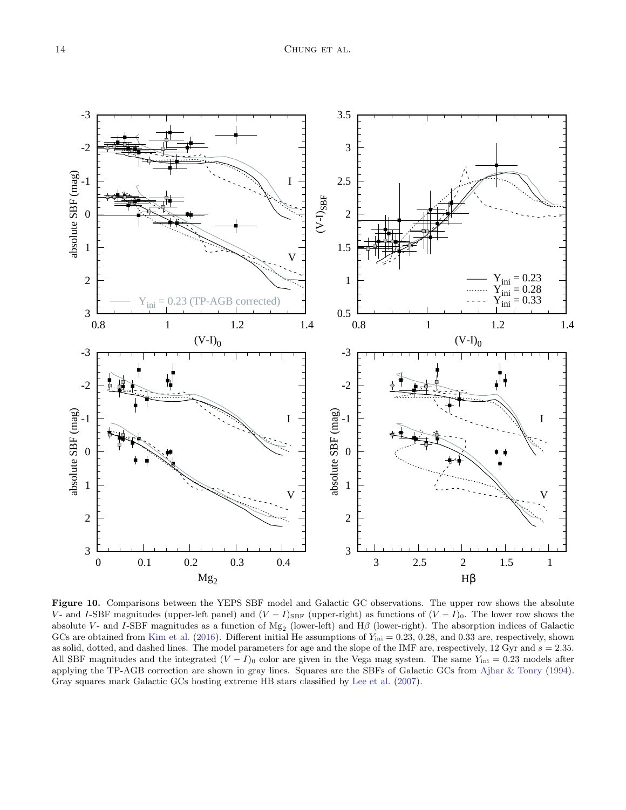

<span id="page-13-0"></span>Figure 10. Comparisons between the YEPS SBF model and Galactic GC observations. The upper row shows the absolute V- and I-SBF magnitudes (upper-left panel) and  $(V - I)_{\text{SBF}}$  (upper-right) as functions of  $(V - I)_{0}$ . The lower row shows the absolute V- and I-SBF magnitudes as a function of  $Mg_2$  (lower-left) and  $H\beta$  (lower-right). The absorption indices of Galactic GCs are obtained from [Kim et al.](#page-20-46) [\(2016\)](#page-20-46). Different initial He assumptions of  $Y_{\text{ini}} = 0.23, 0.28,$  and 0.33 are, respectively, shown as solid, dotted, and dashed lines. The model parameters for age and the slope of the IMF are, respectively, 12 Gyr and  $s = 2.35$ . All SBF magnitudes and the integrated  $(V - I)_0$  color are given in the Vega mag system. The same  $Y_{\text{ini}} = 0.23$  models after applying the TP-AGB correction are shown in gray lines. Squares are the SBFs of Galactic GCs from [Ajhar & Tonry](#page-19-2) [\(1994\)](#page-19-2). Gray squares mark Galactic GCs hosting extreme HB stars classified by [Lee et al.](#page-20-45) [\(2007](#page-20-45)).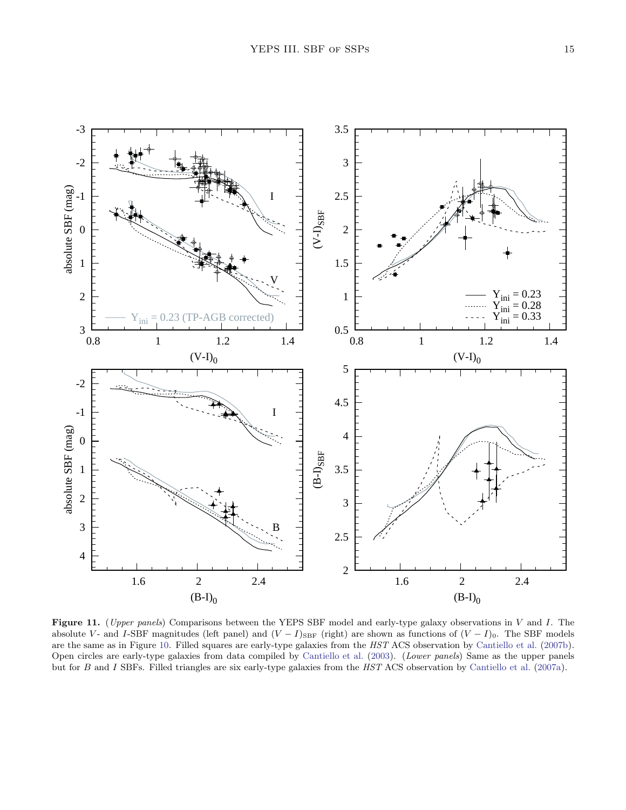

<span id="page-14-0"></span>Figure 11. (Upper panels) Comparisons between the YEPS SBF model and early-type galaxy observations in  $V$  and  $I$ . The absolute V- and I-SBF magnitudes (left panel) and  $(V - I)_{\text{SBF}}$  (right) are shown as functions of  $(V - I)_{0}$ . The SBF models are the same as in Figure [10.](#page-13-0) Filled squares are early-type galaxies from the HST ACS observation by [Cantiello et al.](#page-20-8) [\(2007b\)](#page-20-8). Open circles are early-type galaxies from data compiled by [Cantiello et al.](#page-20-19) [\(2003](#page-20-19)). (Lower panels) Same as the upper panels but for B and I SBFs. Filled triangles are six early-type galaxies from the HST ACS observation by [Cantiello et al.](#page-20-7) [\(2007a](#page-20-7)).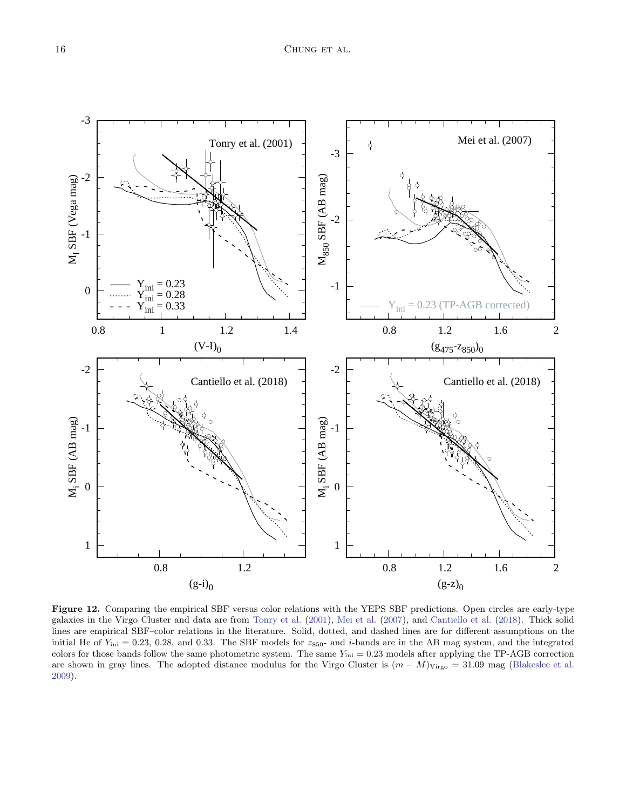

<span id="page-15-0"></span>Figure 12. Comparing the empirical SBF versus color relations with the YEPS SBF predictions. Open circles are early-type galaxies in the Virgo Cluster and data are from [Tonry et al.](#page-21-4) [\(2001](#page-21-4)), [Mei et al.](#page-20-3) [\(2007\)](#page-20-3), and [Cantiello et al.](#page-20-47) [\(2018](#page-20-47)). Thick solid lines are empirical SBF–color relations in the literature. Solid, dotted, and dashed lines are for different assumptions on the initial He of  $Y_{\text{ini}} = 0.23, 0.28,$  and 0.33. The SBF models for  $z_{850}$ - and *i*-bands are in the AB mag system, and the integrated colors for those bands follow the same photometric system. The same  $Y_{\text{ini}} = 0.23$  models after applying the TP-AGB correction are shown in gray lines. The adopted distance modulus for the Virgo Cluster is  $(m - M)_{\text{Virgo}} = 31.09$  mag [\(Blakeslee et al.](#page-20-4) [2009](#page-20-4)).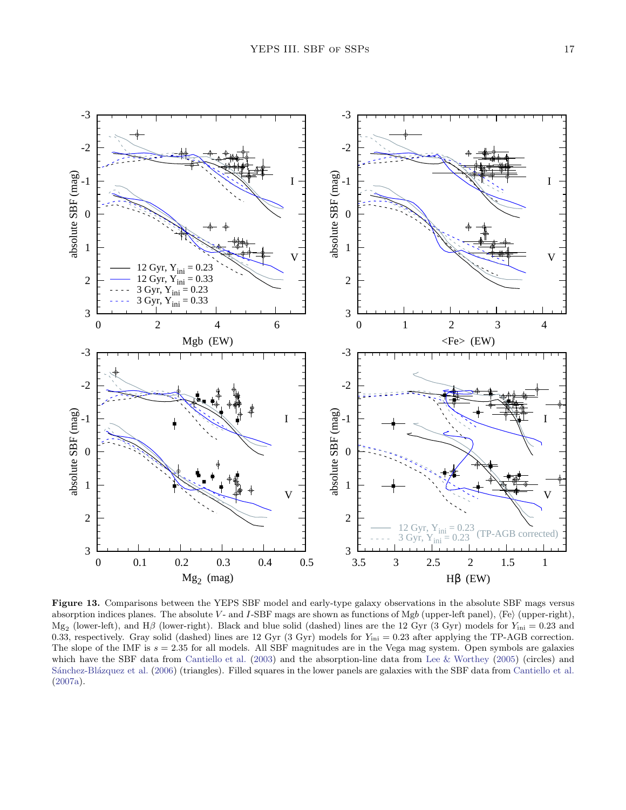

<span id="page-16-0"></span>Figure 13. Comparisons between the YEPS SBF model and early-type galaxy observations in the absolute SBF mags versus absorption indices planes. The absolute V- and I-SBF mags are shown as functions of Mgb (upper-left panel),  $\langle Fe \rangle$  (upper-right),  $Mg_2$  (lower-left), and H $\beta$  (lower-right). Black and blue solid (dashed) lines are the 12 Gyr (3 Gyr) models for  $Y_{\rm ini} = 0.23$  and 0.33, respectively. Gray solid (dashed) lines are 12 Gyr (3 Gyr) models for  $Y_{\text{ini}} = 0.23$  after applying the TP-AGB correction. The slope of the IMF is  $s = 2.35$  for all models. All SBF magnitudes are in the Vega mag system. Open symbols are galaxies which have the SBF data from [Cantiello et al.](#page-20-19) [\(2003\)](#page-20-19) and the absorption-line data from [Lee & Worthey](#page-20-48) [\(2005](#page-20-48)) (circles) and Sánchez-Blázquez et al. [\(2006\)](#page-20-49) (triangles). Filled squares in the lower panels are galaxies with the SBF data from [Cantiello et al.](#page-20-7) [\(2007a](#page-20-7)).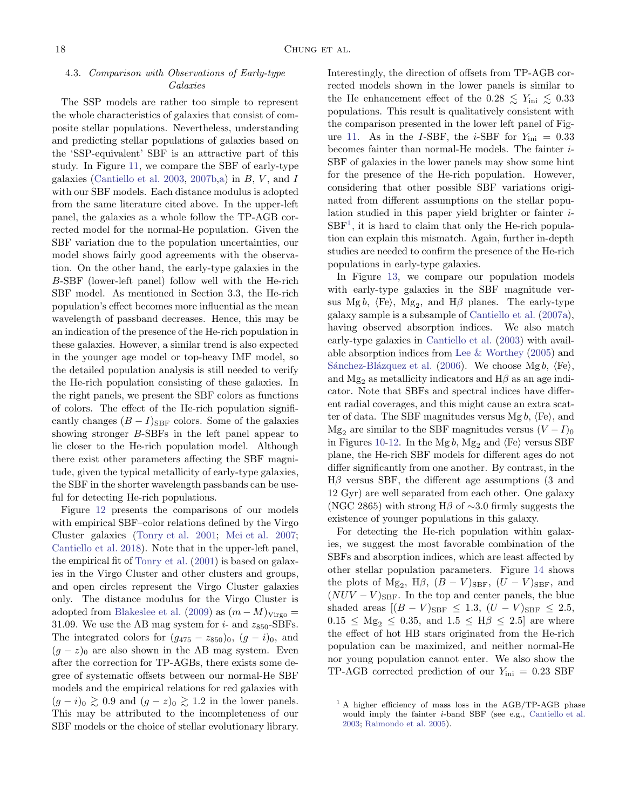# 4.3. Comparison with Observations of Early-type Galaxies

The SSP models are rather too simple to represent the whole characteristics of galaxies that consist of composite stellar populations. Nevertheless, understanding and predicting stellar populations of galaxies based on the 'SSP-equivalent' SBF is an attractive part of this study. In Figure [11,](#page-14-0) we compare the SBF of early-type galaxies [\(Cantiello et al. 2003](#page-20-19), [2007b](#page-20-8)[,a\)](#page-20-7) in  $B, V,$  and  $I$ with our SBF models. Each distance modulus is adopted from the same literature cited above. In the upper-left panel, the galaxies as a whole follow the TP-AGB corrected model for the normal-He population. Given the SBF variation due to the population uncertainties, our model shows fairly good agreements with the observation. On the other hand, the early-type galaxies in the B-SBF (lower-left panel) follow well with the He-rich SBF model. As mentioned in Section 3.3, the He-rich population's effect becomes more influential as the mean wavelength of passband decreases. Hence, this may be an indication of the presence of the He-rich population in these galaxies. However, a similar trend is also expected in the younger age model or top-heavy IMF model, so the detailed population analysis is still needed to verify the He-rich population consisting of these galaxies. In the right panels, we present the SBF colors as functions of colors. The effect of the He-rich population significantly changes  $(B - I)_{\text{SBF}}$  colors. Some of the galaxies showing stronger B-SBFs in the left panel appear to lie closer to the He-rich population model. Although there exist other parameters affecting the SBF magnitude, given the typical metallicity of early-type galaxies, the SBF in the shorter wavelength passbands can be useful for detecting He-rich populations.

Figure [12](#page-15-0) presents the comparisons of our models with empirical SBF–color relations defined by the Virgo Cluster galaxies [\(Tonry et al. 2001;](#page-21-4) [Mei et al. 2007;](#page-20-3) [Cantiello et al. 2018\)](#page-20-47). Note that in the upper-left panel, the empirical fit of [Tonry et al.](#page-21-4) [\(2001](#page-21-4)) is based on galaxies in the Virgo Cluster and other clusters and groups, and open circles represent the Virgo Cluster galaxies only. The distance modulus for the Virgo Cluster is adopted from [Blakeslee et al.](#page-20-4) [\(2009](#page-20-4)) as  $(m - M)_{\text{Virgo}} =$ 31.09. We use the AB mag system for  $i$ - and  $z_{850}$ -SBFs. The integrated colors for  $(g_{475} - z_{850})_0$ ,  $(g - i)_0$ , and  $(g - z)_0$  are also shown in the AB mag system. Even after the correction for TP-AGBs, there exists some degree of systematic offsets between our normal-He SBF models and the empirical relations for red galaxies with  $(g - i)_0 \gtrsim 0.9$  and  $(g - z)_0 \gtrsim 1.2$  in the lower panels. This may be attributed to the incompleteness of our SBF models or the choice of stellar evolutionary library.

Interestingly, the direction of offsets from TP-AGB corrected models shown in the lower panels is similar to the He enhancement effect of the  $0.28 \le Y_{\text{ini}} \le 0.33$ populations. This result is qualitatively consistent with the comparison presented in the lower left panel of Fig-ure [11.](#page-14-0) As in the I-SBF, the *i*-SBF for  $Y_{\text{ini}} = 0.33$ becomes fainter than normal-He models. The fainter i-SBF of galaxies in the lower panels may show some hint for the presence of the He-rich population. However, considering that other possible SBF variations originated from different assumptions on the stellar population studied in this paper yield brighter or fainter i- $SBF<sup>1</sup>$  $SBF<sup>1</sup>$  $SBF<sup>1</sup>$ , it is hard to claim that only the He-rich population can explain this mismatch. Again, further in-depth studies are needed to confirm the presence of the He-rich populations in early-type galaxies.

In Figure [13,](#page-16-0) we compare our population models with early-type galaxies in the SBF magnitude versus Mgb,  $\langle \text{Fe} \rangle$ , Mg<sub>2</sub>, and H $\beta$  planes. The early-type galaxy sample is a subsample of [Cantiello et al.](#page-20-7) [\(2007a\)](#page-20-7), having observed absorption indices. We also match early-type galaxies in [Cantiello et al.](#page-20-19) [\(2003\)](#page-20-19) with available absorption indices from [Lee & Worthey](#page-20-48) [\(2005](#page-20-48)) and Sánchez-Blázquez et al. [\(2006\)](#page-20-49). We choose Mg b,  $\langle \text{Fe} \rangle$ , and  $Mg_2$  as metallicity indicators and  $H\beta$  as an age indicator. Note that SBFs and spectral indices have different radial coverages, and this might cause an extra scatter of data. The SBF magnitudes versus Mg  $b$ ,  $\langle Fe \rangle$ , and Mg<sub>2</sub> are similar to the SBF magnitudes versus  $(V - I)_0$ in Figures [10-](#page-13-0)[12.](#page-15-0) In the Mg b, Mg<sub>2</sub> and  $\langle \text{Fe} \rangle$  versus SBF plane, the He-rich SBF models for different ages do not differ significantly from one another. By contrast, in the  $H\beta$  versus SBF, the different age assumptions (3 and 12 Gyr) are well separated from each other. One galaxy (NGC 2865) with strong H $\beta$  of ~3.0 firmly suggests the existence of younger populations in this galaxy.

For detecting the He-rich population within galaxies, we suggest the most favorable combination of the SBFs and absorption indices, which are least affected by other stellar population parameters. Figure [14](#page-18-0) shows the plots of  $Mg_2$ ,  $H\beta$ ,  $(B - V)_{SBF}$ ,  $(U - V)_{SBF}$ , and  $(NUV - V)_{\text{SBF}}$ . In the top and center panels, the blue shaded areas  $[(B - V)_{\text{SBF}} \leq 1.3, (U - V)_{\text{SBF}} \leq 2.5,$  $0.15 \leq Mg_2 \leq 0.35$ , and  $1.5 \leq H\beta \leq 2.5$  are where the effect of hot HB stars originated from the He-rich population can be maximized, and neither normal-He nor young population cannot enter. We also show the TP-AGB corrected prediction of our  $Y_{\text{ini}} = 0.23$  SBF

<span id="page-17-0"></span><sup>&</sup>lt;sup>1</sup> A higher efficiency of mass loss in the AGB/TP-AGB phase would imply the fainter i-band SBF (see e.g., [Cantiello et al.](#page-20-19) [2003](#page-20-19); [Raimondo et al. 2005](#page-20-18)).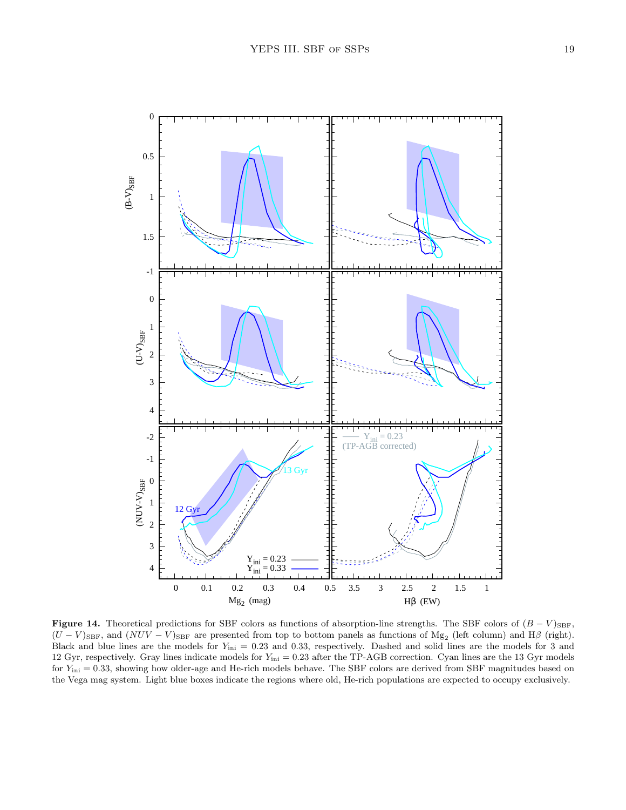

<span id="page-18-0"></span>**Figure 14.** Theoretical predictions for SBF colors as functions of absorption-line strengths. The SBF colors of  $(B - V)_{\text{SBF}}$ ,  $(U - V)_{\text{SBF}}$ , and  $(NUV - V)_{\text{SBF}}$  are presented from top to bottom panels as functions of  $Mg_2$  (left column) and  $H\beta$  (right). Black and blue lines are the models for  $Y_{\text{ini}} = 0.23$  and 0.33, respectively. Dashed and solid lines are the models for 3 and 12 Gyr, respectively. Gray lines indicate models for  $Y_{\text{ini}} = 0.23$  after the TP-AGB correction. Cyan lines are the 13 Gyr models for  $Y_{\text{ini}} = 0.33$ , showing how older-age and He-rich models behave. The SBF colors are derived from SBF magnitudes based on the Vega mag system. Light blue boxes indicate the regions where old, He-rich populations are expected to occupy exclusively.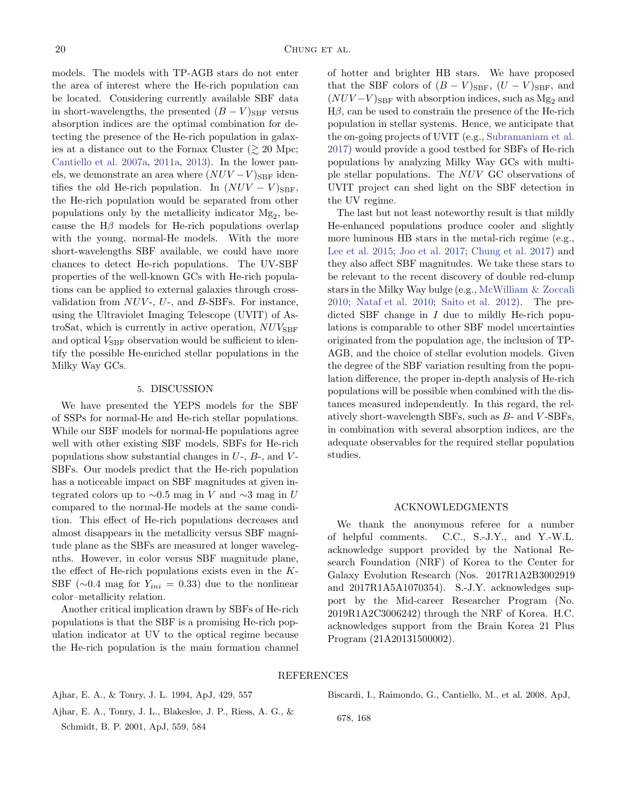models. The models with TP-AGB stars do not enter the area of interest where the He-rich population can be located. Considering currently available SBF data in short-wavelengths, the presented  $(B - V)_{\text{SBF}}$  versus absorption indices are the optimal combination for detecting the presence of the He-rich population in galaxies at a distance out to the Fornax Cluster  $(\gtrsim 20 \text{ Mpc})$ ; [Cantiello et al. 2007a](#page-20-7), [2011a,](#page-20-9) [2013\)](#page-20-11). In the lower panels, we demonstrate an area where  $(NUV - V)_{\text{SBF}}$  identifies the old He-rich population. In  $(NUV - V)_{\text{SBF}}$ , the He-rich population would be separated from other populations only by the metallicity indicator  $Mg_2$ , because the  $H\beta$  models for He-rich populations overlap with the young, normal-He models. With the more short-wavelengths SBF available, we could have more chances to detect He-rich populations. The UV-SBF properties of the well-known GCs with He-rich populations can be applied to external galaxies through crossvalidation from  $NUV$ -,  $U$ -, and  $B$ -SBFs. For instance, using the Ultraviolet Imaging Telescope (UVIT) of AstroSat, which is currently in active operation,  $NUV_{\text{SBF}}$ and optical  $V_{\text{SBF}}$  observation would be sufficient to identify the possible He-enriched stellar populations in the Milky Way GCs.

#### 5. DISCUSSION

We have presented the YEPS models for the SBF of SSPs for normal-He and He-rich stellar populations. While our SBF models for normal-He populations agree well with other existing SBF models, SBFs for He-rich populations show substantial changes in  $U$ -,  $B$ -, and  $V$ -SBFs. Our models predict that the He-rich population has a noticeable impact on SBF magnitudes at given integrated colors up to  $\sim$ 0.5 mag in V and  $\sim$ 3 mag in U compared to the normal-He models at the same condition. This effect of He-rich populations decreases and almost disappears in the metallicity versus SBF magnitude plane as the SBFs are measured at longer wavelegnths. However, in color versus SBF magnitude plane, the effect of He-rich populations exists even in the K-SBF ( $\sim$ 0.4 mag for  $Y_{ini} = 0.33$ ) due to the nonlinear color–metallicity relation.

Another critical implication drawn by SBFs of He-rich populations is that the SBF is a promising He-rich population indicator at UV to the optical regime because the He-rich population is the main formation channel of hotter and brighter HB stars. We have proposed that the SBF colors of  $(B - V)_{\text{SBF}}$ ,  $(U - V)_{\text{SBF}}$ , and  $(NUV - V)_{\text{SBF}}$  with absorption indices, such as  $Mg_2$  and  $H\beta$ , can be used to constrain the presence of the He-rich population in stellar systems. Hence, we anticipate that the on-going projects of UVIT (e.g., [Subramaniam et al.](#page-20-50) [2017\)](#page-20-50) would provide a good testbed for SBFs of He-rich populations by analyzing Milky Way GCs with multiple stellar populations. The NUV GC observations of UVIT project can shed light on the SBF detection in the UV regime.

The last but not least noteworthy result is that mildly He-enhanced populations produce cooler and slightly more luminous HB stars in the metal-rich regime (e.g., [Lee et al. 2015;](#page-20-33) [Joo et al. 2017;](#page-20-34) [Chung et al. 2017\)](#page-20-32) and they also affect SBF magnitudes. We take these stars to be relevant to the recent discovery of double red-clump stars in the Milky Way bulge (e.g., [McWilliam & Zoccali](#page-20-40) [2010;](#page-20-40) [Nataf et al. 2010;](#page-20-41) [Saito et al. 2012\)](#page-20-51). The predicted SBF change in  $I$  due to mildly He-rich populations is comparable to other SBF model uncertainties originated from the population age, the inclusion of TP-AGB, and the choice of stellar evolution models. Given the degree of the SBF variation resulting from the population difference, the proper in-depth analysis of He-rich populations will be possible when combined with the distances measured independently. In this regard, the relatively short-wavelength SBFs, such as  $B$ - and  $V$ -SBFs, in combination with several absorption indices, are the adequate observables for the required stellar population studies.

### ACKNOWLEDGMENTS

We thank the anonymous referee for a number of helpful comments. C.C., S.-J.Y., and Y.-W.L. acknowledge support provided by the National Research Foundation (NRF) of Korea to the Center for Galaxy Evolution Research (Nos. 2017R1A2B3002919 and 2017R1A5A1070354). S.-J.Y. acknowledges support by the Mid-career Researcher Program (No. 2019R1A2C3006242) through the NRF of Korea. H.C. acknowledges support from the Brain Korea 21 Plus Program (21A20131500002).

#### REFERENCES

<span id="page-19-2"></span>Ajhar, E. A., & Tonry, J. L. 1994, ApJ, 429, 557

<span id="page-19-0"></span>Ajhar, E. A., Tonry, J. L., Blakeslee, J. P., Riess, A. G., & Schmidt, B. P. 2001, ApJ, 559, 584

<span id="page-19-1"></span>Biscardi, I., Raimondo, G., Cantiello, M., et al. 2008, ApJ,

678, 168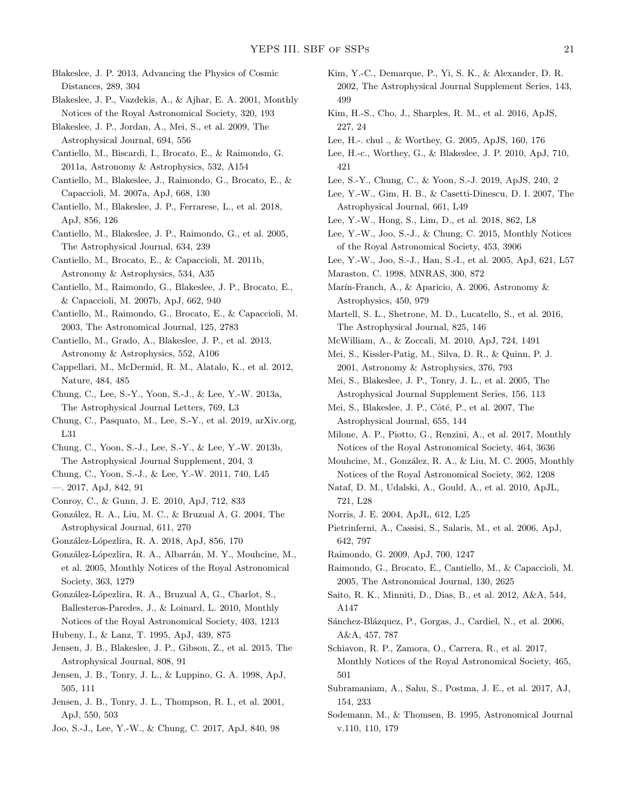<span id="page-20-0"></span>Blakeslee, J. P. 2013, Advancing the Physics of Cosmic Distances, 289, 304

- <span id="page-20-16"></span>Blakeslee, J. P., Vazdekis, A., & Ajhar, E. A. 2001, Monthly Notices of the Royal Astronomical Society, 320, 193
- <span id="page-20-4"></span>Blakeslee, J. P., Jordan, A., Mei, S., et al. 2009, The Astrophysical Journal, 694, 556
- <span id="page-20-9"></span>Cantiello, M., Biscardi, I., Brocato, E., & Raimondo, G. 2011a, Astronomy & Astrophysics, 532, A154
- <span id="page-20-8"></span>Cantiello, M., Blakeslee, J., Raimondo, G., Brocato, E., & Capaccioli, M. 2007a, ApJ, 668, 130
- <span id="page-20-47"></span>Cantiello, M., Blakeslee, J. P., Ferrarese, L., et al. 2018, ApJ, 856, 126
- <span id="page-20-2"></span>Cantiello, M., Blakeslee, J. P., Raimondo, G., et al. 2005, The Astrophysical Journal, 634, 239
- <span id="page-20-10"></span>Cantiello, M., Brocato, E., & Capaccioli, M. 2011b, Astronomy & Astrophysics, 534, A35
- <span id="page-20-7"></span>Cantiello, M., Raimondo, G., Blakeslee, J. P., Brocato, E., & Capaccioli, M. 2007b, ApJ, 662, 940
- <span id="page-20-19"></span>Cantiello, M., Raimondo, G., Brocato, E., & Capaccioli, M. 2003, The Astronomical Journal, 125, 2783
- <span id="page-20-11"></span>Cantiello, M., Grado, A., Blakeslee, J. P., et al. 2013, Astronomy & Astrophysics, 552, A106
- <span id="page-20-43"></span>Cappellari, M., McDermid, R. M., Alatalo, K., et al. 2012, Nature, 484, 485
- <span id="page-20-31"></span>Chung, C., Lee, S.-Y., Yoon, S.-J., & Lee, Y.-W. 2013a, The Astrophysical Journal Letters, 769, L3
- Chung, C., Pasquato, M., Lee, S.-Y., et al. 2019, arXiv.org, L31
- <span id="page-20-35"></span>Chung, C., Yoon, S.-J., Lee, S.-Y., & Lee, Y.-W. 2013b, The Astrophysical Journal Supplement, 204, 3
- <span id="page-20-30"></span>Chung, C., Yoon, S.-J., & Lee, Y.-W. 2011, 740, L45
- <span id="page-20-32"></span>—. 2017, ApJ, 842, 91
- <span id="page-20-24"></span>Conroy, C., & Gunn, J. E. 2010, ApJ, 712, 833
- <span id="page-20-13"></span>González, R. A., Liu, M. C., & Bruzual A, G. 2004, The Astrophysical Journal, 611, 270
- <span id="page-20-26"></span>Gonz´alez-L´opezlira, R. A. 2018, ApJ, 856, 170
- <span id="page-20-15"></span>González-Lópezlira, R. A., Albarrán, M. Y., Mouhcine, M., et al. 2005, Monthly Notices of the Royal Astronomical Society, 363, 1279
- <span id="page-20-23"></span>González-Lópezlira, R. A., Bruzual A, G., Charlot, S., Ballesteros-Paredes, J., & Loinard, L. 2010, Monthly Notices of the Royal Astronomical Society, 403, 1213
- <span id="page-20-38"></span>Hubeny, I., & Lanz, T. 1995, ApJ, 439, 875
- <span id="page-20-14"></span>Jensen, J. B., Blakeslee, J. P., Gibson, Z., et al. 2015, The Astrophysical Journal, 808, 91
- <span id="page-20-12"></span>Jensen, J. B., Tonry, J. L., & Luppino, G. A. 1998, ApJ, 505, 111
- <span id="page-20-5"></span>Jensen, J. B., Tonry, J. L., Thompson, R. I., et al. 2001, ApJ, 550, 503
- <span id="page-20-34"></span>Joo, S.-J., Lee, Y.-W., & Chung, C. 2017, ApJ, 840, 98
- <span id="page-20-36"></span>Kim, Y.-C., Demarque, P., Yi, S. K., & Alexander, D. R. 2002, The Astrophysical Journal Supplement Series, 143, 499
- <span id="page-20-46"></span>Kim, H.-S., Cho, J., Sharples, R. M., et al. 2016, ApJS, 227, 24
- <span id="page-20-48"></span>Lee, H.-. chul ., & Worthey, G. 2005, ApJS, 160, 176
- <span id="page-20-25"></span>Lee, H.-c., Worthey, G., & Blakeslee, J. P. 2010, ApJ, 710, 421
- <span id="page-20-39"></span>Lee, S.-Y., Chung, C., & Yoon, S.-J. 2019, ApJS, 240, 2
- <span id="page-20-45"></span>Lee, Y.-W., Gim, H. B., & Casetti-Dinescu, D. I. 2007, The Astrophysical Journal, 661, L49
- <span id="page-20-42"></span>Lee, Y.-W., Hong, S., Lim, D., et al. 2018, 862, L8
- <span id="page-20-33"></span>Lee, Y.-W., Joo, S.-J., & Chung, C. 2015, Monthly Notices of the Royal Astronomical Society, 453, 3906
- <span id="page-20-28"></span>Lee, Y.-W., Joo, S.-J., Han, S.-I., et al. 2005, ApJ, 621, L57
- <span id="page-20-44"></span>Maraston, C. 1998, MNRAS, 300, 872
- <span id="page-20-21"></span>Marín-Franch, A., & Aparicio, A. 2006, Astronomy & Astrophysics, 450, 979
- Martell, S. L., Shetrone, M. D., Lucatello, S., et al. 2016, The Astrophysical Journal, 825, 146
- <span id="page-20-40"></span>McWilliam, A., & Zoccali, M. 2010, ApJ, 724, 1491
- <span id="page-20-17"></span>Mei, S., Kissler-Patig, M., Silva, D. R., & Quinn, P. J. 2001, Astronomy & Astrophysics, 376, 793
- <span id="page-20-1"></span>Mei, S., Blakeslee, J. P., Tonry, J. L., et al. 2005, The Astrophysical Journal Supplement Series, 156, 113
- <span id="page-20-3"></span>Mei, S., Blakeslee, J. P., Côté, P., et al. 2007, The Astrophysical Journal, 655, 144
- <span id="page-20-29"></span>Milone, A. P., Piotto, G., Renzini, A., et al. 2017, Monthly Notices of the Royal Astronomical Society, 464, 3636
- <span id="page-20-20"></span>Mouhcine, M., González, R. A., & Liu, M. C. 2005, Monthly Notices of the Royal Astronomical Society, 362, 1208
- <span id="page-20-41"></span>Nataf, D. M., Udalski, A., Gould, A., et al. 2010, ApJL, 721, L28
- <span id="page-20-27"></span>Norris, J. E. 2004, ApJL, 612, L25
- <span id="page-20-37"></span>Pietrinferni, A., Cassisi, S., Salaris, M., et al. 2006, ApJ, 642, 797
- <span id="page-20-22"></span>Raimondo, G. 2009, ApJ, 700, 1247
- <span id="page-20-18"></span>Raimondo, G., Brocato, E., Cantiello, M., & Capaccioli, M. 2005, The Astronomical Journal, 130, 2625
- <span id="page-20-51"></span>Saito, R. K., Minniti, D., Dias, B., et al. 2012, A&A, 544, A147
- <span id="page-20-49"></span>Sánchez-Blázquez, P., Gorgas, J., Cardiel, N., et al. 2006, A&A, 457, 787
- Schiavon, R. P., Zamora, O., Carrera, R., et al. 2017, Monthly Notices of the Royal Astronomical Society, 465, 501
- <span id="page-20-50"></span>Subramaniam, A., Sahu, S., Postma, J. E., et al. 2017, AJ, 154, 233
- <span id="page-20-6"></span>Sodemann, M., & Thomsen, B. 1995, Astronomical Journal v.110, 110, 179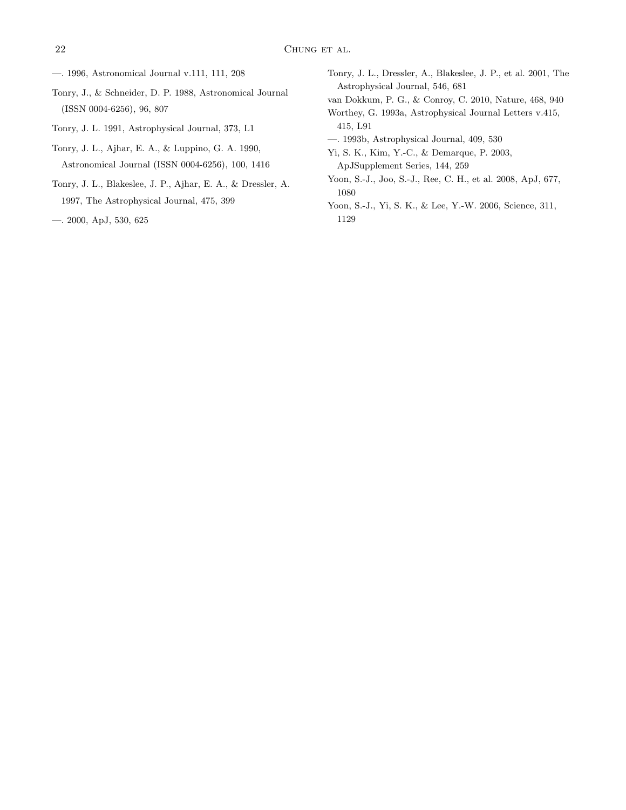- <span id="page-21-5"></span>—. 1996, Astronomical Journal v.111, 111, 208
- <span id="page-21-0"></span>Tonry, J., & Schneider, D. P. 1988, Astronomical Journal (ISSN 0004-6256), 96, 807
- <span id="page-21-1"></span>Tonry, J. L. 1991, Astrophysical Journal, 373, L1
- <span id="page-21-7"></span>Tonry, J. L., Ajhar, E. A., & Luppino, G. A. 1990, Astronomical Journal (ISSN 0004-6256), 100, 1416
- <span id="page-21-2"></span>Tonry, J. L., Blakeslee, J. P., Ajhar, E. A., & Dressler, A. 1997, The Astrophysical Journal, 475, 399
- <span id="page-21-3"></span>—. 2000, ApJ, 530, 625

<span id="page-21-4"></span>Tonry, J. L., Dressler, A., Blakeslee, J. P., et al. 2001, The Astrophysical Journal, 546, 681

<span id="page-21-11"></span>van Dokkum, P. G., & Conroy, C. 2010, Nature, 468, 940

- <span id="page-21-6"></span>Worthey, G. 1993a, Astrophysical Journal Letters v.415, 415, L91
- <span id="page-21-8"></span>—. 1993b, Astrophysical Journal, 409, 530
- <span id="page-21-9"></span>Yi, S. K., Kim, Y.-C., & Demarque, P. 2003, ApJSupplement Series, 144, 259
- <span id="page-21-12"></span>Yoon, S.-J., Joo, S.-J., Ree, C. H., et al. 2008, ApJ, 677, 1080
- <span id="page-21-10"></span>Yoon, S.-J., Yi, S. K., & Lee, Y.-W. 2006, Science, 311, 1129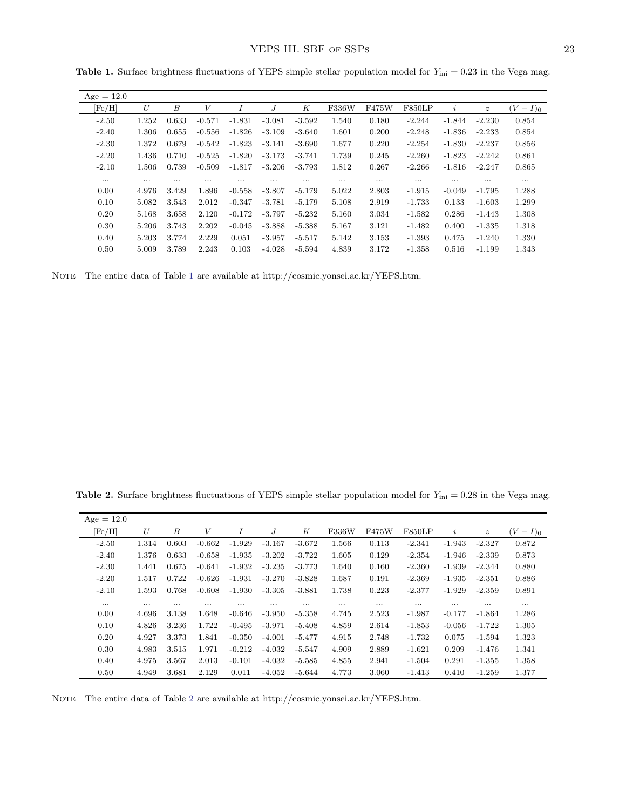| $Age = 12.0$ |          |                  |          |          |          |          |          |          |          |           |                  |          |
|--------------|----------|------------------|----------|----------|----------|----------|----------|----------|----------|-----------|------------------|----------|
| [Fe/H]       | U        | $\boldsymbol{B}$ | V        | Ι        | J        | К        | F336W    | F475W    | F850LP   | $\dot{i}$ | $\boldsymbol{z}$ | $(V-I)0$ |
| $-2.50$      | 1.252    | 0.633            | $-0.571$ | $-1.831$ | $-3.081$ | $-3.592$ | 1.540    | 0.180    | $-2.244$ | $-1.844$  | $-2.230$         | 0.854    |
| $-2.40$      | 1.306    | 0.655            | $-0.556$ | $-1.826$ | $-3.109$ | $-3.640$ | 1.601    | 0.200    | $-2.248$ | $-1.836$  | $-2.233$         | 0.854    |
| $-2.30$      | 1.372    | 0.679            | $-0.542$ | $-1.823$ | $-3.141$ | $-3.690$ | 1.677    | 0.220    | $-2.254$ | $-1.830$  | $-2.237$         | 0.856    |
| $-2.20$      | 1.436    | 0.710            | $-0.525$ | $-1.820$ | $-3.173$ | $-3.741$ | 1.739    | 0.245    | $-2.260$ | $-1.823$  | $-2.242$         | 0.861    |
| $-2.10$      | 1.506    | 0.739            | $-0.509$ | $-1.817$ | $-3.206$ | $-3.793$ | 1.812    | 0.267    | $-2.266$ | $-1.816$  | $-2.247$         | 0.865    |
| $\cdots$     | $\cdots$ | $\cdots$         | $\cdots$ | $\cdots$ | $\cdots$ | $\cdots$ | $\cdots$ | $\cdots$ | $\cdots$ | $\cdots$  | $\cdots$         | $\cdots$ |
| 0.00         | 4.976    | 3.429            | 1.896    | $-0.558$ | $-3.807$ | $-5.179$ | 5.022    | 2.803    | $-1.915$ | $-0.049$  | $-1.795$         | 1.288    |
| 0.10         | 5.082    | 3.543            | 2.012    | $-0.347$ | $-3.781$ | $-5.179$ | 5.108    | 2.919    | $-1.733$ | 0.133     | $-1.603$         | 1.299    |
| 0.20         | 5.168    | 3.658            | 2.120    | $-0.172$ | $-3.797$ | $-5.232$ | 5.160    | 3.034    | $-1.582$ | 0.286     | $-1.443$         | 1.308    |
| 0.30         | 5.206    | 3.743            | 2.202    | $-0.045$ | $-3.888$ | $-5.388$ | 5.167    | 3.121    | $-1.482$ | 0.400     | $-1.335$         | 1.318    |
| 0.40         | 5.203    | 3.774            | 2.229    | 0.051    | $-3.957$ | $-5.517$ | 5.142    | 3.153    | $-1.393$ | 0.475     | $-1.240$         | 1.330    |
| 0.50         | 5.009    | 3.789            | 2.243    | 0.103    | $-4.028$ | $-5.594$ | 4.839    | 3.172    | $-1.358$ | 0.516     | $-1.199$         | 1.343    |

<span id="page-22-0"></span>**Table 1.** Surface brightness fluctuations of YEPS simple stellar population model for  $Y_{\text{ini}} = 0.23$  in the Vega mag.

NOTE—The entire data of Table [1](#page-22-0) are available at http://cosmic.yonsei.ac.kr/YEPS.htm.

Age  $= 12.0$  $[Fe/H]$  U B V I J K F336W F475W F850LP i z  $(V-I)_0$ -2.50 1.314 0.603 -0.662 -1.929 -3.167 -3.672 1.566 0.113 -2.341 -1.943 -2.327 0.872 -2.40 1.376 0.633 -0.658 -1.935 -3.202 -3.722 1.605 0.129 -2.354 -1.946 -2.339 0.873 -2.30 1.441 0.675 -0.641 -1.932 -3.235 -3.773 1.640 0.160 -2.360 -1.939 -2.344 0.880 -2.20 1.517 0.722 -0.626 -1.931 -3.270 -3.828 1.687 0.191 -2.369 -1.935 -2.351 0.886 -2.10 1.593 0.768 -0.608 -1.930 -3.305 -3.881 1.738 0.223 -2.377 -1.929 -2.359 0.891 يتوارد المسارد المسارد المسارد المسارد المسارد السرد المسارد المسارد السرد المسارد المسارد المسارد المسارد

0.00 4.696 3.138 1.648 -0.646 -3.950 -5.358 4.745 2.523 -1.987 -0.177 -1.864 1.286 0.10 4.826 3.236 1.722 -0.495 -3.971 -5.408 4.859 2.614 -1.853 -0.056 -1.722 1.305 0.20 4.927 3.373 1.841 -0.350 -4.001 -5.477 4.915 2.748 -1.732 0.075 -1.594 1.323 0.30 4.983 3.515 1.971 -0.212 -4.032 -5.547 4.909 2.889 -1.621 0.209 -1.476 1.341 0.40 4.975 3.567 2.013 -0.101 -4.032 -5.585 4.855 2.941 -1.504 0.291 -1.355 1.358 0.50 4.949 3.681 2.129 0.011 -4.052 -5.644 4.773 3.060 -1.413 0.410 -1.259 1.377

<span id="page-22-1"></span>Table 2. Surface brightness fluctuations of YEPS simple stellar population model for  $Y_{\text{ini}} = 0.28$  in the Vega mag.

NOTE—The entire data of Table [2](#page-22-1) are available at http://cosmic.yonsei.ac.kr/YEPS.htm.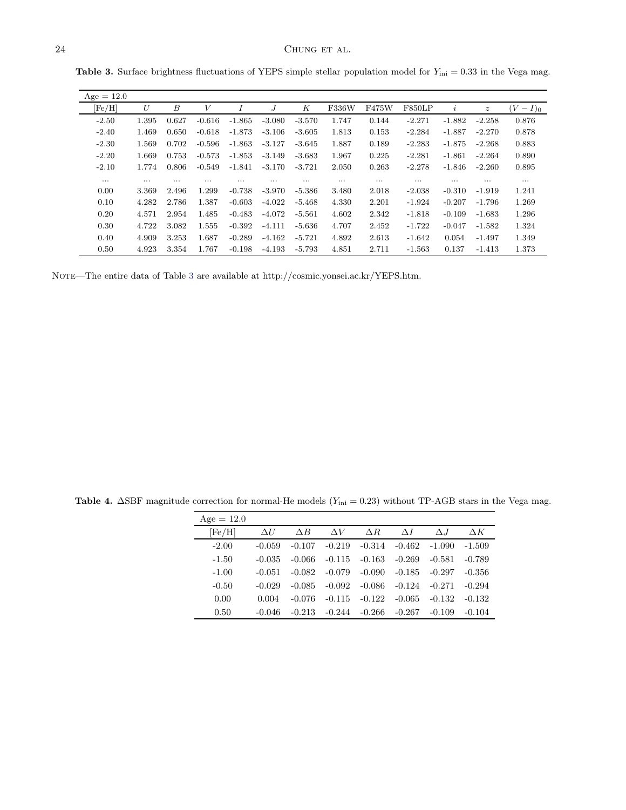| $Age = 12.0$ |          |          |          |          |          |          |          |          |               |          |                  |             |
|--------------|----------|----------|----------|----------|----------|----------|----------|----------|---------------|----------|------------------|-------------|
| [Fe/H]       | U        | В        | V        | Ι        | J        | К        | F336W    | F475W    | <b>F850LP</b> | $\iota$  | $\boldsymbol{z}$ | $(V-I)_{0}$ |
| $-2.50$      | 1.395    | 0.627    | $-0.616$ | $-1.865$ | $-3.080$ | $-3.570$ | 1.747    | 0.144    | $-2.271$      | $-1.882$ | $-2.258$         | 0.876       |
| $-2.40$      | 1.469    | 0.650    | $-0.618$ | $-1.873$ | $-3.106$ | $-3.605$ | 1.813    | 0.153    | $-2.284$      | $-1.887$ | $-2.270$         | 0.878       |
| $-2.30$      | 1.569    | 0.702    | $-0.596$ | $-1.863$ | $-3.127$ | $-3.645$ | 1.887    | 0.189    | $-2.283$      | $-1.875$ | $-2.268$         | 0.883       |
| $-2.20$      | 1.669    | 0.753    | $-0.573$ | $-1.853$ | $-3.149$ | $-3.683$ | 1.967    | 0.225    | $-2.281$      | $-1.861$ | $-2.264$         | 0.890       |
| $-2.10$      | 1.774    | 0.806    | $-0.549$ | $-1.841$ | $-3.170$ | $-3.721$ | 2.050    | 0.263    | $-2.278$      | $-1.846$ | $-2.260$         | 0.895       |
| $\cdots$     | $\cdots$ | $\cdots$ | $\cdots$ | $\cdots$ | $\cdots$ | $\cdots$ | $\cdots$ | $\cdots$ | $\cdots$      | $\cdots$ | $\cdots$         | $\cdots$    |
| 0.00         | 3.369    | 2.496    | 1.299    | $-0.738$ | $-3.970$ | $-5.386$ | 3.480    | 2.018    | $-2.038$      | $-0.310$ | $-1.919$         | 1.241       |
| 0.10         | 4.282    | 2.786    | 1.387    | $-0.603$ | $-4.022$ | -5.468   | 4.330    | 2.201    | $-1.924$      | $-0.207$ | -1.796           | 1.269       |
| 0.20         | 4.571    | 2.954    | 1.485    | $-0.483$ | $-4.072$ | $-5.561$ | 4.602    | 2.342    | $-1.818$      | $-0.109$ | $-1.683$         | 1.296       |
| 0.30         | 4.722    | 3.082    | 1.555    | $-0.392$ | $-4.111$ | -5.636   | 4.707    | 2.452    | $-1.722$      | $-0.047$ | $-1.582$         | 1.324       |
| 0.40         | 4.909    | 3.253    | 1.687    | $-0.289$ | $-4.162$ | $-5.721$ | 4.892    | 2.613    | $-1.642$      | 0.054    | $-1.497$         | 1.349       |
| 0.50         | 4.923    | 3.354    | 1.767    | $-0.198$ | $-4.193$ | $-5.793$ | 4.851    | 2.711    | $-1.563$      | 0.137    | $-1.413$         | 1.373       |

<span id="page-23-0"></span>**Table 3.** Surface brightness fluctuations of YEPS simple stellar population model for  $Y_{\text{ini}} = 0.33$  in the Vega mag.

NOTE—The entire data of Table [3](#page-23-0) are available at http://cosmic.yonsei.ac.kr/YEPS.htm.

 $Age = 12.0$  $\left [ \mathrm{Fe}/\mathrm{H} \right ]$   $\Delta U$   $\Delta B$   $\Delta V$   $\Delta R$   $\Delta I$   $\Delta J$   $\Delta K$ -2.00 -0.059 -0.107 -0.219 -0.314 -0.462 -1.090 -1.509 -1.50 -0.035 -0.066 -0.115 -0.163 -0.269 -0.581 -0.789 -1.00 -0.051 -0.082 -0.079 -0.090 -0.185 -0.297 -0.356 -0.50 -0.029 -0.085 -0.092 -0.086 -0.124 -0.271 -0.294 0.00  $0.004$   $-0.076$   $-0.115$   $-0.122$   $-0.065$   $-0.132$   $-0.132$ 0.50 -0.046 -0.213 -0.244 -0.266 -0.267 -0.109 -0.104

<span id="page-23-1"></span>Table 4.  $\Delta$ SBF magnitude correction for normal-He models (Y<sub>ini</sub> = 0.23) without TP-AGB stars in the Vega mag.